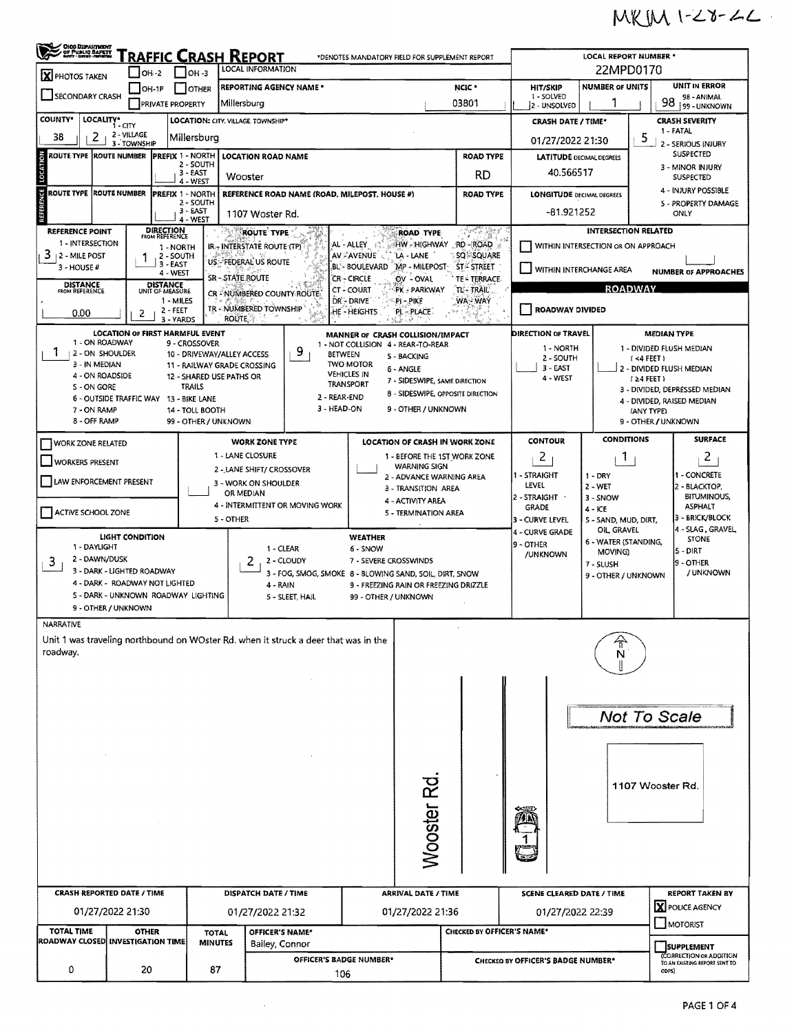## $MKIM1-Z8-Z2$

| <b>OHO DEPARTMENT</b><br>- DF PUBLIC BAPKIT<br>- NHY - SIGGE-MONDIA<br><b>Traffic Crash Report</b><br>*DENOTES MANDATORY FIELD FOR SUPPLEMENT REPORT |                                                                                     |                                             |                                                   |                                                                                                      |                                        |                                                     |                                           |                                                        |                                                                                | <b>LOCAL REPORT NUMBER *</b>                                                                                      |                                     |  |  |  |
|------------------------------------------------------------------------------------------------------------------------------------------------------|-------------------------------------------------------------------------------------|---------------------------------------------|---------------------------------------------------|------------------------------------------------------------------------------------------------------|----------------------------------------|-----------------------------------------------------|-------------------------------------------|--------------------------------------------------------|--------------------------------------------------------------------------------|-------------------------------------------------------------------------------------------------------------------|-------------------------------------|--|--|--|
| X PHOTOS TAKEN                                                                                                                                       | $OH - 2$                                                                            | <b>LOCAL INFORMATION</b><br>$\Box$ OH -3    |                                                   |                                                                                                      |                                        |                                                     |                                           | 22MPD0170                                              |                                                                                |                                                                                                                   |                                     |  |  |  |
| SECONDARY CRASH                                                                                                                                      | $\Box$ OH-1P                                                                        | <b>OTHER</b>                                | <b>REPORTING AGENCY NAME *</b>                    |                                                                                                      | NCIC *                                 |                                                     |                                           | <b>HIT/SKIP</b><br>1 - SOLVED                          | <b>NUMBER OF UNITS</b>                                                         | <b>UNIT IN ERROR</b><br>98 - ANIMAL                                                                               |                                     |  |  |  |
|                                                                                                                                                      | <b>PRIVATE PROPERTY</b>                                                             |                                             | Millersburg                                       |                                                                                                      | 03801                                  |                                                     |                                           | 2 - UNSOLVED                                           |                                                                                |                                                                                                                   | 98<br>99 - UNKNOWN                  |  |  |  |
| <b>COUNTY*</b><br>LOCALITY*                                                                                                                          | 1 - CITY                                                                            |                                             | LOCATION: CITY. VILLAGE. TOWNSHIP*                |                                                                                                      |                                        |                                                     |                                           | <b>CRASH DATE / TIME*</b>                              |                                                                                | <b>CRASH SEVERITY</b><br>1 - FATAL                                                                                |                                     |  |  |  |
| 2<br>38                                                                                                                                              | 2 - VILLAGE<br>3 - TOWNSHIP                                                         | Millersburg                                 |                                                   |                                                                                                      |                                        |                                                     |                                           | 01/27/2022 21:30                                       |                                                                                | 5<br>2 - SERIOUS INJURY                                                                                           |                                     |  |  |  |
| ROUTE TYPE  ROUTE NUMBER                                                                                                                             |                                                                                     | <b>PREFIX 1 - NORTH</b><br>2 - SOUTH        | <b>LOCATION ROAD NAME</b>                         |                                                                                                      |                                        |                                                     | <b>ROAD TYPE</b>                          | <b>LATITUDE</b> DECIMAL DEGREES                        |                                                                                | SUSPECTED                                                                                                         |                                     |  |  |  |
| LOCATION                                                                                                                                             |                                                                                     | $3 - EAST$                                  | Wooster                                           | RD                                                                                                   |                                        |                                                     |                                           |                                                        | 40.566517                                                                      | 3 - MINOR INJURY<br><b>SUSPECTED</b>                                                                              |                                     |  |  |  |
| NCE<br><b>ROUTE TYPE ROUTE NUMBER</b>                                                                                                                |                                                                                     | 4 - WEST<br><b>PREFIX 1 - NORTH</b>         |                                                   | REFERENCE ROAD NAME (ROAD, MILEPOST, HOUSE #)                                                        |                                        |                                                     |                                           | <b>LONGITUDE DECIMAL DEGREES</b>                       |                                                                                | 4 - INJURY POSSIBLE                                                                                               |                                     |  |  |  |
| REFERE                                                                                                                                               |                                                                                     | 2 - SOUTH<br>$3 - EAST$                     |                                                   |                                                                                                      | <b>ROAD TYPE</b>                       |                                                     |                                           |                                                        |                                                                                |                                                                                                                   | 5 - PROPERTY DAMAGE                 |  |  |  |
|                                                                                                                                                      |                                                                                     | 4 - WEST                                    |                                                   | 1107 Woster Rd.                                                                                      |                                        |                                                     |                                           | $-81.921252$                                           |                                                                                |                                                                                                                   | ONLY                                |  |  |  |
| <b>REFERENCE POINT</b><br>1 - INTERSECTION                                                                                                           | <b>DIRECTION</b><br>FROM REFERENCE                                                  | r Me                                        | <b>ROUTE TYPE</b>                                 |                                                                                                      |                                        | ROAD TYPE                                           | きゅうきょうかん<br>RD-ROAD                       |                                                        | <b>INTERSECTION RELATED</b>                                                    |                                                                                                                   |                                     |  |  |  |
| 3.<br>2 - MILE POST                                                                                                                                  |                                                                                     | 1 - NORTH<br>2 - SOUTH                      |                                                   | HW - HIGHWAY<br>AL-ALLEY<br>IR-INTERSTATE ROUTE (TP)<br>AV - AVENUE<br>LA - LANE<br><b>SQ-SQUARE</b> |                                        |                                                     |                                           | WITHIN INTERSECTION OR ON APPROACH                     |                                                                                |                                                                                                                   |                                     |  |  |  |
| 3 - HOUSE #                                                                                                                                          | 3 - EAST<br>4 - WEST                                                                |                                             | US FEDERAL US ROUTE                               |                                                                                                      | BL'-BOULEVARD                          | MP - MILEPOST                                       | <b>ST-STREET</b>                          | WITHIN INTERCHANGE AREA<br><b>NUMBER OF APPROACHES</b> |                                                                                |                                                                                                                   |                                     |  |  |  |
| <b>DISTANCE</b><br>FROM REFERENCE                                                                                                                    | <b>DISTANCE</b><br>UNIT OF MEASURE                                                  |                                             | SR-STATE ROUTE                                    |                                                                                                      | <b>CR-CIRCLE</b><br>CT - COURT         | OV - OVAL<br>PK - PARKWAY                           | TE - TERRACE<br>TL'- TRAIL'               | <b>ROADWAY</b>                                         |                                                                                |                                                                                                                   |                                     |  |  |  |
|                                                                                                                                                      |                                                                                     | 1 - MILES                                   | CR - NUMBERED COUNTY ROUTE                        |                                                                                                      | DR - DRIVE                             | Pi - PIKE                                           | WA-WAY                                    |                                                        |                                                                                |                                                                                                                   |                                     |  |  |  |
| 0.00                                                                                                                                                 | 2 - FEET<br>2                                                                       | 3 - YARDS                                   | TR - NUMBERED TOWNSHIP<br><b>ROUTE</b>            |                                                                                                      | HE - HEIGHTS                           | PL-PLACE                                            |                                           | ROADWAY DIVIDED                                        |                                                                                |                                                                                                                   |                                     |  |  |  |
|                                                                                                                                                      | <b>LOCATION OF FIRST HARMFUL EVENT</b>                                              |                                             |                                                   |                                                                                                      |                                        | MANNER OF CRASH COLLISION/IMPACT                    |                                           | <b>DIRECTION OF TRAVEL</b>                             | <b>MEDIAN TYPE</b>                                                             |                                                                                                                   |                                     |  |  |  |
| 1 - ON ROADWAY<br>1<br>12 - ON SHOULDER                                                                                                              |                                                                                     | 9 - CROSSOVER<br>10 - DRIVEWAY/ALLEY ACCESS |                                                   | 9<br><b>BETWEEN</b>                                                                                  |                                        | 1 - NOT COLLISION 4 - REAR-TO-REAR                  |                                           | 1 - NORTH                                              |                                                                                |                                                                                                                   | 1 - DIVIDED FLUSH MEDIAN            |  |  |  |
| 3 - IN MEDIAN                                                                                                                                        |                                                                                     | 11 - RAILWAY GRADE CROSSING                 |                                                   |                                                                                                      | <b>TWO MOTOR</b>                       | 5 - BACKING<br>6 - ANGLE                            |                                           | 2 - SOUTH<br>3 - EAST                                  |                                                                                | (4 FEE)<br>2 - DIVIDED FLUSH MEDIAN<br>$(24$ FEET)<br>3 - DIVIDED, DEPRESSED MEDIAN<br>4 - DIVIDED, RAISED MEDIAN |                                     |  |  |  |
| 4 - ON ROADSIDE<br>S - ON GORE                                                                                                                       |                                                                                     | 12 - SHARED USE PATHS OR<br><b>TRAILS</b>   |                                                   |                                                                                                      | <b>VEHICLES IN</b><br><b>TRANSPORT</b> | 7 - SIDESWIPE, SAME DIRECTION                       |                                           | 4 - WEST                                               |                                                                                |                                                                                                                   |                                     |  |  |  |
|                                                                                                                                                      | 6 - OUTSIDE TRAFFIC WAY 13 - BIKE LANE                                              |                                             |                                                   | 2 - REAR-END                                                                                         |                                        | 8 - SIDESWIPE, OPPOSITE DIRECTION                   |                                           |                                                        |                                                                                |                                                                                                                   |                                     |  |  |  |
| 7 - ON RAMP                                                                                                                                          |                                                                                     | 14 - TOLL BOOTH                             |                                                   | 3 - HEAD-ON                                                                                          |                                        | 9 - OTHER / UNKNOWN                                 |                                           |                                                        |                                                                                | (ANY TYPE)                                                                                                        |                                     |  |  |  |
| 8 - OFF RAMP                                                                                                                                         |                                                                                     | 99 - OTHER / UNKNOWN                        |                                                   |                                                                                                      |                                        |                                                     |                                           |                                                        |                                                                                |                                                                                                                   | 9 - OTHER / UNKNOWN                 |  |  |  |
| WORK ZONE RELATED                                                                                                                                    |                                                                                     |                                             | <b>WORK ZONE TYPE</b>                             |                                                                                                      |                                        | LOCATION OF CRASH IN WORK ZONE                      |                                           | <b>CONTOUR</b>                                         | <b>CONDITIONS</b>                                                              |                                                                                                                   | <b>SURFACE</b>                      |  |  |  |
| <b>WORKERS PRESENT</b>                                                                                                                               |                                                                                     |                                             | 1 - LANE CLOSURE                                  |                                                                                                      |                                        | 1 - BEFORE THE 1ST WORK ZONE<br><b>WARNING SIGN</b> |                                           | 2                                                      | Т.                                                                             |                                                                                                                   | 2                                   |  |  |  |
| LAW ENFORCEMENT PRESENT                                                                                                                              |                                                                                     |                                             | 2 - LANE SHIFT/ CROSSOVER<br>3 - WORK ON SHOULDER |                                                                                                      |                                        | 2 - ADVANCE WARNING AREA                            | 1 - STRAIGHT                              | $1 - DRY$                                              |                                                                                | 1 - CONCRETE                                                                                                      |                                     |  |  |  |
|                                                                                                                                                      |                                                                                     |                                             | OR MEDIAN                                         | 3 - TRANSITION AREA                                                                                  |                                        |                                                     |                                           |                                                        | LEVEL<br>2 - WET<br>2 - BLACKTOP,<br>BITUMINOUS,<br>2 - STRAIGHT `<br>3 - SNOW |                                                                                                                   |                                     |  |  |  |
| ACTIVE SCHOOL ZONE                                                                                                                                   |                                                                                     |                                             |                                                   | 4 - INTERMITTENT OR MOVING WORK                                                                      |                                        | 4 - ACTIVITY AREA<br>5 - TERMINATION AREA           |                                           | <b>GRADE</b>                                           | $4 - KE$                                                                       |                                                                                                                   | <b>ASPHALT</b>                      |  |  |  |
|                                                                                                                                                      |                                                                                     |                                             | 5 - OTHER                                         |                                                                                                      |                                        |                                                     |                                           | 3 - CURVE LEVEL<br>4 - CURVE GRADE                     | S - SAND, MUD, DIRT,<br>OIL GRAVEL                                             |                                                                                                                   | 3 - BRICK/BLOCK<br>4 - SLAG, GRAVEL |  |  |  |
| 1 - DAYLIGHT                                                                                                                                         | <b>LIGHT CONDITION</b>                                                              |                                             | 1 - CLEAR                                         |                                                                                                      | <b>WEATHER</b><br>6 - SNOW             |                                                     |                                           | 6 - WATER (STANDING,<br>9 - OTHER                      |                                                                                |                                                                                                                   | <b>STONE</b>                        |  |  |  |
| 2 - DAWN/DUSK<br>3                                                                                                                                   |                                                                                     |                                             | 2                                                 | 2 - CLOUDY                                                                                           | 7 - SEVERE CROSSWINDS                  |                                                     |                                           | /UNKNOWN                                               | MOVING)<br>7 - SLUSH                                                           |                                                                                                                   | 5 - DIRT<br>9 - OTHER               |  |  |  |
|                                                                                                                                                      | 3 - DARK - LIGHTED ROADWAY                                                          |                                             |                                                   | 3 - FOG, SMOG, SMOKE 8 - BLOWING SAND, SOIL, DIRT, SNOW                                              |                                        |                                                     |                                           |                                                        | 9 - OTHER / UNKNOWN                                                            |                                                                                                                   | / UNKNOWN                           |  |  |  |
|                                                                                                                                                      | 4 - DARK - ROADWAY NOT LIGHTED<br>S - DARK - UNKNOWN ROADWAY LIGHTING               |                                             |                                                   | 4 - RAIN<br>9 - FREEZING RAIN OR FREEZING DRIZZLE<br>5 - SLEET, HAIL<br>99 - OTHER / UNKNOWN         |                                        |                                                     |                                           |                                                        |                                                                                |                                                                                                                   |                                     |  |  |  |
|                                                                                                                                                      | 9 - OTHER / UNKNOWN                                                                 |                                             |                                                   |                                                                                                      |                                        |                                                     |                                           |                                                        |                                                                                |                                                                                                                   |                                     |  |  |  |
| <b>NARRATIVE</b>                                                                                                                                     |                                                                                     |                                             |                                                   |                                                                                                      |                                        |                                                     |                                           |                                                        |                                                                                |                                                                                                                   |                                     |  |  |  |
|                                                                                                                                                      | Unit 1 was traveling northbound on WOster Rd. when it struck a deer that was in the |                                             |                                                   |                                                                                                      |                                        |                                                     |                                           |                                                        |                                                                                |                                                                                                                   |                                     |  |  |  |
| roadway.                                                                                                                                             |                                                                                     |                                             |                                                   |                                                                                                      |                                        |                                                     |                                           |                                                        | N                                                                              |                                                                                                                   |                                     |  |  |  |
|                                                                                                                                                      |                                                                                     |                                             |                                                   |                                                                                                      |                                        |                                                     |                                           |                                                        |                                                                                |                                                                                                                   |                                     |  |  |  |
|                                                                                                                                                      |                                                                                     |                                             |                                                   |                                                                                                      |                                        |                                                     |                                           |                                                        |                                                                                |                                                                                                                   |                                     |  |  |  |
|                                                                                                                                                      |                                                                                     |                                             |                                                   |                                                                                                      |                                        |                                                     |                                           |                                                        |                                                                                |                                                                                                                   |                                     |  |  |  |
|                                                                                                                                                      |                                                                                     |                                             |                                                   |                                                                                                      |                                        |                                                     |                                           |                                                        |                                                                                |                                                                                                                   | <b>Not To Scale</b>                 |  |  |  |
|                                                                                                                                                      |                                                                                     |                                             |                                                   |                                                                                                      |                                        |                                                     |                                           |                                                        |                                                                                |                                                                                                                   |                                     |  |  |  |
|                                                                                                                                                      |                                                                                     |                                             |                                                   |                                                                                                      |                                        |                                                     |                                           |                                                        |                                                                                |                                                                                                                   |                                     |  |  |  |
|                                                                                                                                                      |                                                                                     |                                             |                                                   |                                                                                                      |                                        |                                                     |                                           |                                                        |                                                                                |                                                                                                                   |                                     |  |  |  |
|                                                                                                                                                      |                                                                                     |                                             |                                                   |                                                                                                      |                                        |                                                     |                                           |                                                        |                                                                                |                                                                                                                   | 1107 Wooster Rd.                    |  |  |  |
|                                                                                                                                                      |                                                                                     |                                             |                                                   |                                                                                                      |                                        |                                                     |                                           |                                                        |                                                                                |                                                                                                                   |                                     |  |  |  |
|                                                                                                                                                      |                                                                                     |                                             |                                                   |                                                                                                      |                                        | <b>Nooster Rd</b>                                   |                                           |                                                        |                                                                                |                                                                                                                   |                                     |  |  |  |
|                                                                                                                                                      |                                                                                     |                                             |                                                   |                                                                                                      |                                        |                                                     |                                           |                                                        |                                                                                |                                                                                                                   |                                     |  |  |  |
|                                                                                                                                                      |                                                                                     |                                             |                                                   |                                                                                                      |                                        |                                                     |                                           |                                                        |                                                                                |                                                                                                                   |                                     |  |  |  |
|                                                                                                                                                      |                                                                                     |                                             |                                                   |                                                                                                      |                                        |                                                     |                                           |                                                        |                                                                                |                                                                                                                   |                                     |  |  |  |
|                                                                                                                                                      |                                                                                     |                                             |                                                   |                                                                                                      |                                        |                                                     |                                           |                                                        |                                                                                |                                                                                                                   |                                     |  |  |  |
|                                                                                                                                                      | <b>CRASH REPORTED DATE / TIME</b>                                                   |                                             |                                                   | DISPATCH DATE / TIME<br><b>ARRIVAL DATE / TIME</b>                                                   |                                        |                                                     |                                           | <b>SCENE CLEARED DATE / TIME</b>                       |                                                                                | <b>REPORT TAKEN BY</b><br>X POLICE AGENCY                                                                         |                                     |  |  |  |
|                                                                                                                                                      | 01/27/2022 21:30                                                                    |                                             | 01/27/2022 21:32                                  |                                                                                                      |                                        | 01/27/2022 21:36                                    |                                           | 01/27/2022 22:39                                       |                                                                                |                                                                                                                   |                                     |  |  |  |
| <b>TOTAL TIME</b><br>ROADWAY CLOSED INVESTIGATION TIME                                                                                               | <b>OTHER</b>                                                                        | <b>TOTAL</b>                                |                                                   | OFFICER'S NAME*                                                                                      |                                        |                                                     | CHECKED BY OFFICER'S NAME*                |                                                        |                                                                                |                                                                                                                   | MOTORIST                            |  |  |  |
|                                                                                                                                                      |                                                                                     | <b>MINUTES</b>                              | Bailey, Connor                                    |                                                                                                      |                                        |                                                     |                                           |                                                        |                                                                                |                                                                                                                   |                                     |  |  |  |
| OFFICER'S BADGE NUMBER*<br>0<br>20<br>87<br>106                                                                                                      |                                                                                     |                                             |                                                   |                                                                                                      |                                        |                                                     | <b>CHECKED BY OFFICER'S BADGE NUMBER*</b> |                                                        | (CORRECTION OR ADDITION<br>TO AN EXISTING REPORT SENT TO<br>ODPS)              |                                                                                                                   |                                     |  |  |  |

 $\mathcal{L}_{\text{max}}$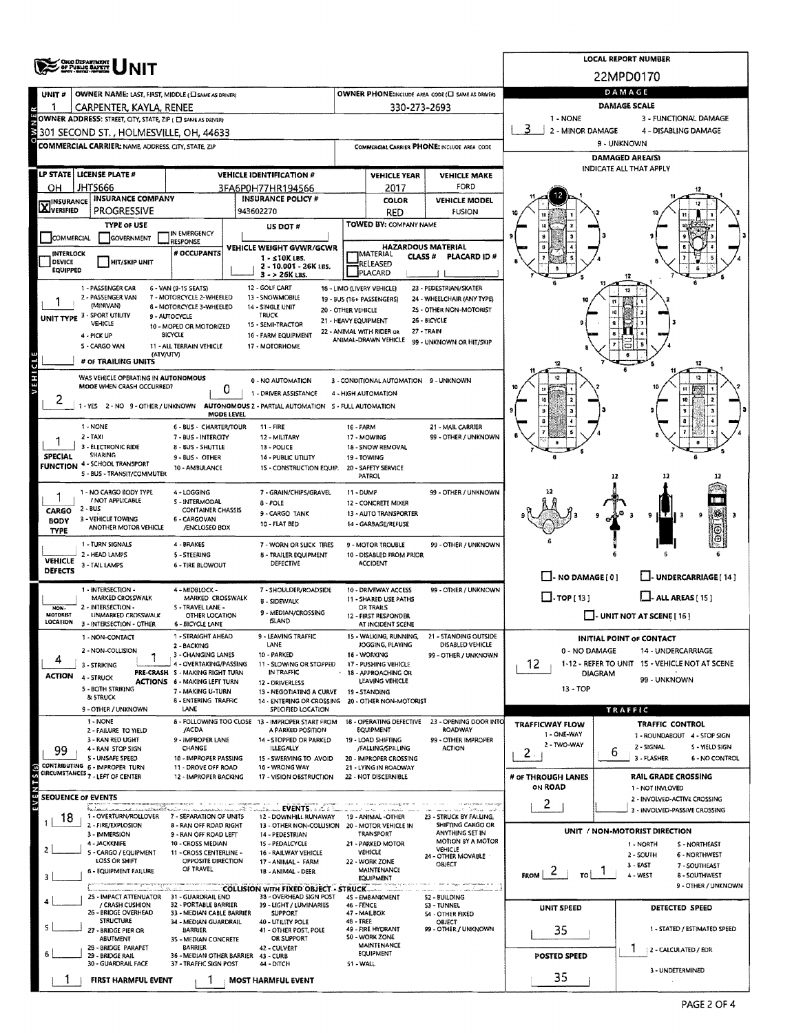|                                  | <b>ONG DEPARTMENT</b><br>OF PUBLIC BAFETY                    |                                                                                                                                                                                                                                                                                                                                                                                                                                                                                                                                                                                                                                                                                                                                                                                                                                                                                                                                                                                                                                                                                                                                                                                                                                                                                                                                                                                                                                                                                                                                                                                                                                                                                                                                                                                                                                                                                                                                                                               |                                                    |                                             |                                      |                                                                                                                                                                                                                                                                                                                                                                                                                                                                                                                                                                                                                                                                                                                                                                                                                                                                                                                                                                                                                                                                                                                                                                                                                                                                                                                                                                                                                                                                                                                                                                                                                                                                                                                                                                                                                                                                                                                                                                                                                                                                                                                             |                        |                       |  |  |  |  |  |
|----------------------------------|--------------------------------------------------------------|-------------------------------------------------------------------------------------------------------------------------------------------------------------------------------------------------------------------------------------------------------------------------------------------------------------------------------------------------------------------------------------------------------------------------------------------------------------------------------------------------------------------------------------------------------------------------------------------------------------------------------------------------------------------------------------------------------------------------------------------------------------------------------------------------------------------------------------------------------------------------------------------------------------------------------------------------------------------------------------------------------------------------------------------------------------------------------------------------------------------------------------------------------------------------------------------------------------------------------------------------------------------------------------------------------------------------------------------------------------------------------------------------------------------------------------------------------------------------------------------------------------------------------------------------------------------------------------------------------------------------------------------------------------------------------------------------------------------------------------------------------------------------------------------------------------------------------------------------------------------------------------------------------------------------------------------------------------------------------|----------------------------------------------------|---------------------------------------------|--------------------------------------|-----------------------------------------------------------------------------------------------------------------------------------------------------------------------------------------------------------------------------------------------------------------------------------------------------------------------------------------------------------------------------------------------------------------------------------------------------------------------------------------------------------------------------------------------------------------------------------------------------------------------------------------------------------------------------------------------------------------------------------------------------------------------------------------------------------------------------------------------------------------------------------------------------------------------------------------------------------------------------------------------------------------------------------------------------------------------------------------------------------------------------------------------------------------------------------------------------------------------------------------------------------------------------------------------------------------------------------------------------------------------------------------------------------------------------------------------------------------------------------------------------------------------------------------------------------------------------------------------------------------------------------------------------------------------------------------------------------------------------------------------------------------------------------------------------------------------------------------------------------------------------------------------------------------------------------------------------------------------------------------------------------------------------------------------------------------------------------------------------------------------------|------------------------|-----------------------|--|--|--|--|--|
| UNIT#                            | OWNER NAME: LAST, FIRST, MIDDLE (CI SAME AS DRIVER)          |                                                                                                                                                                                                                                                                                                                                                                                                                                                                                                                                                                                                                                                                                                                                                                                                                                                                                                                                                                                                                                                                                                                                                                                                                                                                                                                                                                                                                                                                                                                                                                                                                                                                                                                                                                                                                                                                                                                                                                               |                                                    |                                             |                                      |                                                                                                                                                                                                                                                                                                                                                                                                                                                                                                                                                                                                                                                                                                                                                                                                                                                                                                                                                                                                                                                                                                                                                                                                                                                                                                                                                                                                                                                                                                                                                                                                                                                                                                                                                                                                                                                                                                                                                                                                                                                                                                                             |                        |                       |  |  |  |  |  |
|                                  | CARPENTER, KAYLA, RENEE                                      |                                                                                                                                                                                                                                                                                                                                                                                                                                                                                                                                                                                                                                                                                                                                                                                                                                                                                                                                                                                                                                                                                                                                                                                                                                                                                                                                                                                                                                                                                                                                                                                                                                                                                                                                                                                                                                                                                                                                                                               |                                                    |                                             |                                      |                                                                                                                                                                                                                                                                                                                                                                                                                                                                                                                                                                                                                                                                                                                                                                                                                                                                                                                                                                                                                                                                                                                                                                                                                                                                                                                                                                                                                                                                                                                                                                                                                                                                                                                                                                                                                                                                                                                                                                                                                                                                                                                             | DAMAGE SCALE           |                       |  |  |  |  |  |
|                                  | OWNER ADDRESS: STREET, CITY, STATE, ZIP ( D SAME AS DRIVER)  |                                                                                                                                                                                                                                                                                                                                                                                                                                                                                                                                                                                                                                                                                                                                                                                                                                                                                                                                                                                                                                                                                                                                                                                                                                                                                                                                                                                                                                                                                                                                                                                                                                                                                                                                                                                                                                                                                                                                                                               |                                                    |                                             |                                      |                                                                                                                                                                                                                                                                                                                                                                                                                                                                                                                                                                                                                                                                                                                                                                                                                                                                                                                                                                                                                                                                                                                                                                                                                                                                                                                                                                                                                                                                                                                                                                                                                                                                                                                                                                                                                                                                                                                                                                                                                                                                                                                             | 1 - NONE               | 3 - FUNCTIONAL DAMAGE |  |  |  |  |  |
|                                  | 301 SECOND ST. , HOLMESVILLE, OH, 44633                      |                                                                                                                                                                                                                                                                                                                                                                                                                                                                                                                                                                                                                                                                                                                                                                                                                                                                                                                                                                                                                                                                                                                                                                                                                                                                                                                                                                                                                                                                                                                                                                                                                                                                                                                                                                                                                                                                                                                                                                               |                                                    |                                             |                                      |                                                                                                                                                                                                                                                                                                                                                                                                                                                                                                                                                                                                                                                                                                                                                                                                                                                                                                                                                                                                                                                                                                                                                                                                                                                                                                                                                                                                                                                                                                                                                                                                                                                                                                                                                                                                                                                                                                                                                                                                                                                                                                                             | 3                      | 4 - DISABLING DAMAGE  |  |  |  |  |  |
|                                  | <b>COMMERCIAL CARRIER: NAME, ADDRESS, CITY, STATE, ZIP</b>   |                                                                                                                                                                                                                                                                                                                                                                                                                                                                                                                                                                                                                                                                                                                                                                                                                                                                                                                                                                                                                                                                                                                                                                                                                                                                                                                                                                                                                                                                                                                                                                                                                                                                                                                                                                                                                                                                                                                                                                               |                                                    | COMMIRCIAL CARRIER PHONE: INCLUDE AREA CODE |                                      |                                                                                                                                                                                                                                                                                                                                                                                                                                                                                                                                                                                                                                                                                                                                                                                                                                                                                                                                                                                                                                                                                                                                                                                                                                                                                                                                                                                                                                                                                                                                                                                                                                                                                                                                                                                                                                                                                                                                                                                                                                                                                                                             | 9 - UNKNOWN            |                       |  |  |  |  |  |
|                                  |                                                              |                                                                                                                                                                                                                                                                                                                                                                                                                                                                                                                                                                                                                                                                                                                                                                                                                                                                                                                                                                                                                                                                                                                                                                                                                                                                                                                                                                                                                                                                                                                                                                                                                                                                                                                                                                                                                                                                                                                                                                               |                                                    |                                             |                                      |                                                                                                                                                                                                                                                                                                                                                                                                                                                                                                                                                                                                                                                                                                                                                                                                                                                                                                                                                                                                                                                                                                                                                                                                                                                                                                                                                                                                                                                                                                                                                                                                                                                                                                                                                                                                                                                                                                                                                                                                                                                                                                                             | <b>DAMAGED AREA(S)</b> |                       |  |  |  |  |  |
|                                  | LP STATE LICENSE PLATE #                                     |                                                                                                                                                                                                                                                                                                                                                                                                                                                                                                                                                                                                                                                                                                                                                                                                                                                                                                                                                                                                                                                                                                                                                                                                                                                                                                                                                                                                                                                                                                                                                                                                                                                                                                                                                                                                                                                                                                                                                                               | <b>VEHICLE IDENTIFICATION #</b>                    |                                             | <b>VEHICLE YEAR</b>                  | <b>VEHICLE MAKE</b>                                                                                                                                                                                                                                                                                                                                                                                                                                                                                                                                                                                                                                                                                                                                                                                                                                                                                                                                                                                                                                                                                                                                                                                                                                                                                                                                                                                                                                                                                                                                                                                                                                                                                                                                                                                                                                                                                                                                                                                                                                                                                                         |                        |                       |  |  |  |  |  |
| он                               | <b>JHT5666</b><br><b>INSURANCE COMPANY</b>                   |                                                                                                                                                                                                                                                                                                                                                                                                                                                                                                                                                                                                                                                                                                                                                                                                                                                                                                                                                                                                                                                                                                                                                                                                                                                                                                                                                                                                                                                                                                                                                                                                                                                                                                                                                                                                                                                                                                                                                                               | 3FA6P0H77HR194566                                  |                                             | 2017                                 |                                                                                                                                                                                                                                                                                                                                                                                                                                                                                                                                                                                                                                                                                                                                                                                                                                                                                                                                                                                                                                                                                                                                                                                                                                                                                                                                                                                                                                                                                                                                                                                                                                                                                                                                                                                                                                                                                                                                                                                                                                                                                                                             |                        |                       |  |  |  |  |  |
| <b>X</b> INSURANCE               | PROGRESSIVE                                                  |                                                                                                                                                                                                                                                                                                                                                                                                                                                                                                                                                                                                                                                                                                                                                                                                                                                                                                                                                                                                                                                                                                                                                                                                                                                                                                                                                                                                                                                                                                                                                                                                                                                                                                                                                                                                                                                                                                                                                                               | <b>INSURANCE POLICY #</b><br>943602270             |                                             |                                      |                                                                                                                                                                                                                                                                                                                                                                                                                                                                                                                                                                                                                                                                                                                                                                                                                                                                                                                                                                                                                                                                                                                                                                                                                                                                                                                                                                                                                                                                                                                                                                                                                                                                                                                                                                                                                                                                                                                                                                                                                                                                                                                             |                        |                       |  |  |  |  |  |
|                                  | <b>TYPE OF USE</b>                                           |                                                                                                                                                                                                                                                                                                                                                                                                                                                                                                                                                                                                                                                                                                                                                                                                                                                                                                                                                                                                                                                                                                                                                                                                                                                                                                                                                                                                                                                                                                                                                                                                                                                                                                                                                                                                                                                                                                                                                                               | US DOT#                                            |                                             |                                      |                                                                                                                                                                                                                                                                                                                                                                                                                                                                                                                                                                                                                                                                                                                                                                                                                                                                                                                                                                                                                                                                                                                                                                                                                                                                                                                                                                                                                                                                                                                                                                                                                                                                                                                                                                                                                                                                                                                                                                                                                                                                                                                             |                        |                       |  |  |  |  |  |
| COMMERCIAL                       | <b>GOVERNMENT</b>                                            | IN EMERGENCY<br>RESPONSE                                                                                                                                                                                                                                                                                                                                                                                                                                                                                                                                                                                                                                                                                                                                                                                                                                                                                                                                                                                                                                                                                                                                                                                                                                                                                                                                                                                                                                                                                                                                                                                                                                                                                                                                                                                                                                                                                                                                                      |                                                    |                                             |                                      |                                                                                                                                                                                                                                                                                                                                                                                                                                                                                                                                                                                                                                                                                                                                                                                                                                                                                                                                                                                                                                                                                                                                                                                                                                                                                                                                                                                                                                                                                                                                                                                                                                                                                                                                                                                                                                                                                                                                                                                                                                                                                                                             |                        |                       |  |  |  |  |  |
| <b>INTERLOCK</b>                 |                                                              | # OCCUPANTS                                                                                                                                                                                                                                                                                                                                                                                                                                                                                                                                                                                                                                                                                                                                                                                                                                                                                                                                                                                                                                                                                                                                                                                                                                                                                                                                                                                                                                                                                                                                                                                                                                                                                                                                                                                                                                                                                                                                                                   |                                                    |                                             |                                      |                                                                                                                                                                                                                                                                                                                                                                                                                                                                                                                                                                                                                                                                                                                                                                                                                                                                                                                                                                                                                                                                                                                                                                                                                                                                                                                                                                                                                                                                                                                                                                                                                                                                                                                                                                                                                                                                                                                                                                                                                                                                                                                             |                        |                       |  |  |  |  |  |
| DEVICE<br><b>EQUIPPED</b>        | <b>HIT/SKIP UNIT</b>                                         |                                                                                                                                                                                                                                                                                                                                                                                                                                                                                                                                                                                                                                                                                                                                                                                                                                                                                                                                                                                                                                                                                                                                                                                                                                                                                                                                                                                                                                                                                                                                                                                                                                                                                                                                                                                                                                                                                                                                                                               | 2 - 10.001 - 26K LBS.                              |                                             |                                      |                                                                                                                                                                                                                                                                                                                                                                                                                                                                                                                                                                                                                                                                                                                                                                                                                                                                                                                                                                                                                                                                                                                                                                                                                                                                                                                                                                                                                                                                                                                                                                                                                                                                                                                                                                                                                                                                                                                                                                                                                                                                                                                             |                        |                       |  |  |  |  |  |
|                                  | 1 - PASSENGER CAR                                            |                                                                                                                                                                                                                                                                                                                                                                                                                                                                                                                                                                                                                                                                                                                                                                                                                                                                                                                                                                                                                                                                                                                                                                                                                                                                                                                                                                                                                                                                                                                                                                                                                                                                                                                                                                                                                                                                                                                                                                               |                                                    |                                             |                                      |                                                                                                                                                                                                                                                                                                                                                                                                                                                                                                                                                                                                                                                                                                                                                                                                                                                                                                                                                                                                                                                                                                                                                                                                                                                                                                                                                                                                                                                                                                                                                                                                                                                                                                                                                                                                                                                                                                                                                                                                                                                                                                                             |                        |                       |  |  |  |  |  |
|                                  | 2 - PASSENGER VAN                                            |                                                                                                                                                                                                                                                                                                                                                                                                                                                                                                                                                                                                                                                                                                                                                                                                                                                                                                                                                                                                                                                                                                                                                                                                                                                                                                                                                                                                                                                                                                                                                                                                                                                                                                                                                                                                                                                                                                                                                                               | 13 - SNOWMOBILE                                    |                                             |                                      |                                                                                                                                                                                                                                                                                                                                                                                                                                                                                                                                                                                                                                                                                                                                                                                                                                                                                                                                                                                                                                                                                                                                                                                                                                                                                                                                                                                                                                                                                                                                                                                                                                                                                                                                                                                                                                                                                                                                                                                                                                                                                                                             |                        |                       |  |  |  |  |  |
|                                  | (MINIVAN)<br>UNIT TYPE 3 - SPORT UTILITY                     |                                                                                                                                                                                                                                                                                                                                                                                                                                                                                                                                                                                                                                                                                                                                                                                                                                                                                                                                                                                                                                                                                                                                                                                                                                                                                                                                                                                                                                                                                                                                                                                                                                                                                                                                                                                                                                                                                                                                                                               | <b>TRUCK</b>                                       |                                             |                                      |                                                                                                                                                                                                                                                                                                                                                                                                                                                                                                                                                                                                                                                                                                                                                                                                                                                                                                                                                                                                                                                                                                                                                                                                                                                                                                                                                                                                                                                                                                                                                                                                                                                                                                                                                                                                                                                                                                                                                                                                                                                                                                                             |                        |                       |  |  |  |  |  |
|                                  | VEHICLE<br>4 - PICK UP                                       |                                                                                                                                                                                                                                                                                                                                                                                                                                                                                                                                                                                                                                                                                                                                                                                                                                                                                                                                                                                                                                                                                                                                                                                                                                                                                                                                                                                                                                                                                                                                                                                                                                                                                                                                                                                                                                                                                                                                                                               | 15 - SEMI-TRACTOR                                  |                                             |                                      |                                                                                                                                                                                                                                                                                                                                                                                                                                                                                                                                                                                                                                                                                                                                                                                                                                                                                                                                                                                                                                                                                                                                                                                                                                                                                                                                                                                                                                                                                                                                                                                                                                                                                                                                                                                                                                                                                                                                                                                                                                                                                                                             |                        |                       |  |  |  |  |  |
|                                  | S - CARGO VAN                                                |                                                                                                                                                                                                                                                                                                                                                                                                                                                                                                                                                                                                                                                                                                                                                                                                                                                                                                                                                                                                                                                                                                                                                                                                                                                                                                                                                                                                                                                                                                                                                                                                                                                                                                                                                                                                                                                                                                                                                                               | 17 - MOTORHOME                                     |                                             |                                      |                                                                                                                                                                                                                                                                                                                                                                                                                                                                                                                                                                                                                                                                                                                                                                                                                                                                                                                                                                                                                                                                                                                                                                                                                                                                                                                                                                                                                                                                                                                                                                                                                                                                                                                                                                                                                                                                                                                                                                                                                                                                                                                             |                        |                       |  |  |  |  |  |
|                                  | # OF TRAILING UNITS                                          |                                                                                                                                                                                                                                                                                                                                                                                                                                                                                                                                                                                                                                                                                                                                                                                                                                                                                                                                                                                                                                                                                                                                                                                                                                                                                                                                                                                                                                                                                                                                                                                                                                                                                                                                                                                                                                                                                                                                                                               |                                                    |                                             |                                      |                                                                                                                                                                                                                                                                                                                                                                                                                                                                                                                                                                                                                                                                                                                                                                                                                                                                                                                                                                                                                                                                                                                                                                                                                                                                                                                                                                                                                                                                                                                                                                                                                                                                                                                                                                                                                                                                                                                                                                                                                                                                                                                             |                        |                       |  |  |  |  |  |
|                                  | WAS VEHICLE OPERATING IN AUTONOMOUS                          |                                                                                                                                                                                                                                                                                                                                                                                                                                                                                                                                                                                                                                                                                                                                                                                                                                                                                                                                                                                                                                                                                                                                                                                                                                                                                                                                                                                                                                                                                                                                                                                                                                                                                                                                                                                                                                                                                                                                                                               |                                                    |                                             |                                      |                                                                                                                                                                                                                                                                                                                                                                                                                                                                                                                                                                                                                                                                                                                                                                                                                                                                                                                                                                                                                                                                                                                                                                                                                                                                                                                                                                                                                                                                                                                                                                                                                                                                                                                                                                                                                                                                                                                                                                                                                                                                                                                             |                        |                       |  |  |  |  |  |
|                                  | MOOE WHEN CRASH OCCURRED?                                    | 0                                                                                                                                                                                                                                                                                                                                                                                                                                                                                                                                                                                                                                                                                                                                                                                                                                                                                                                                                                                                                                                                                                                                                                                                                                                                                                                                                                                                                                                                                                                                                                                                                                                                                                                                                                                                                                                                                                                                                                             |                                                    |                                             |                                      |                                                                                                                                                                                                                                                                                                                                                                                                                                                                                                                                                                                                                                                                                                                                                                                                                                                                                                                                                                                                                                                                                                                                                                                                                                                                                                                                                                                                                                                                                                                                                                                                                                                                                                                                                                                                                                                                                                                                                                                                                                                                                                                             |                        |                       |  |  |  |  |  |
| 2                                | $1 - YES$                                                    |                                                                                                                                                                                                                                                                                                                                                                                                                                                                                                                                                                                                                                                                                                                                                                                                                                                                                                                                                                                                                                                                                                                                                                                                                                                                                                                                                                                                                                                                                                                                                                                                                                                                                                                                                                                                                                                                                                                                                                               |                                                    |                                             |                                      | <b>LOCAL REPORT NUMBER</b><br>22MPD0170<br>DAMAGE<br>OWNER PHONE: INCLUDE AREA CODE (E) SAME AS DRIVERY<br>330-273-2693<br>2 - MINOR DAMAGE<br>INDICATE ALL THAT APPLY<br>FORD<br><b>COLOR</b><br><b>VEHICLE MODEL</b><br><b>FUSION</b><br>RED<br>TOWED BY: COMPANY NAME<br><b>HAZARDOUS MATERIAL</b><br>CLASS <sup>#</sup><br>PLACARD ID#<br>23 - PEDESTRIAN/SKATER<br>24 - WHEELCHAIR (ANY TYPE)<br>25 - OTHER NON-MOTORIST<br>26 - BICYCLE<br>27 - TRAIN<br>99 - UNKNOWN OR HIT/SKIP<br>12<br>12<br>21 - MAIL CARRIER<br>99 - OTHER / UNKNOWN<br>99 - OTHER / UNKNOWN<br>ļ98<br>9<br>9<br><b>HT</b> 11 3<br>99 - OTHER / UNKNOWN<br>$\Box$ - NO DAMAGE $[0]$<br>L. UNDERCARRIAGE [ 14 ]<br>99 - OTHER / UNKNOWN<br>$\Box$ TOP [ 13 ]<br>$L$ - ALL AREAS [15]<br>$\Box$ - UNIT NOT AT SCENE [ 16 ]<br>21 - STANDING OUTSIDE<br><b>INITIAL POINT OF CONTACT</b><br>DISABLED VEHICLE<br>0 - NO DAMAGE<br>14 - UNDERCARRIAGE<br>99 - OTHER / UNKNOWN<br>12<br>1-12 - REFER TO UNIT 15 - VEHICLE NOT AT SCENE<br>DIAGRAM<br>99 - UNKNOWN<br>13 - TOP<br>TRAFFIC<br>TRAFFIC CONTROL<br>TRAFFICWAY FLOW<br>ROADWAY<br>1 - ONE-WAY<br>1 - ROUNDABOUT 4 - STOP SIGN<br>99 - OTHER IMPROPER<br>2 - TWO-WAY<br>2 - SIGNAL<br>S - YIELD SIGN<br><b>ACTION</b><br>2.<br>6<br>3 - FLASHER<br>6 - NO CONTROL<br># OF THROUGH LANES<br><b>RAIL GRADE CROSSING</b><br>ON ROAD<br>1 - NOT INVLOVED<br>2 - INVOLVED-ACTIVE CROSSING<br>2<br>3 - INVOLVED-PASSIVE CROSSING<br>الحاسر السياقات أأكتب لانصب<br>19 - ANIMAL -OTHER<br>23 - STRUCK BY FALLING,<br>SHIFTING CARGO OR<br>UNIT / NON-MOTORIST DIRECTION<br>ANYTHING SET IN<br>MOTION BY A MOTOR<br>1 - NORTH<br>S - NORTHEAST<br>VEHICLE<br>2 - SOUTH<br>6 - NORTHWEST<br>24 - OTHER MOVABLE<br>22 - WORK ZONE<br>OBJECT<br>3 - EAST<br>7-SOUTHEAST<br>۷<br><b>FROM</b><br>4 - WEST<br><b>8 - SOUTHWEST</b><br>9 - OTHER / UNKNOWN<br>n - - aktivativativa<br><b>S2 - BUILDING</b><br><b>53 - TUNNEL</b><br>UNIT SPEED<br>DETECTED SPEED<br><b>S4 - OTHER FIXED</b><br>OBJECT<br>99 - OTHER / UNKNOWN<br>1 - STATED / ESTIMATED SPEED<br>35<br>2 - CALCULATED / EDR<br>POSTED SPEED |                        |                       |  |  |  |  |  |
|                                  |                                                              |                                                                                                                                                                                                                                                                                                                                                                                                                                                                                                                                                                                                                                                                                                                                                                                                                                                                                                                                                                                                                                                                                                                                                                                                                                                                                                                                                                                                                                                                                                                                                                                                                                                                                                                                                                                                                                                                                                                                                                               |                                                    |                                             |                                      |                                                                                                                                                                                                                                                                                                                                                                                                                                                                                                                                                                                                                                                                                                                                                                                                                                                                                                                                                                                                                                                                                                                                                                                                                                                                                                                                                                                                                                                                                                                                                                                                                                                                                                                                                                                                                                                                                                                                                                                                                                                                                                                             |                        |                       |  |  |  |  |  |
|                                  | 1 - NONE<br>$2 - TAX$                                        | 7 - BUS - INTERCITY                                                                                                                                                                                                                                                                                                                                                                                                                                                                                                                                                                                                                                                                                                                                                                                                                                                                                                                                                                                                                                                                                                                                                                                                                                                                                                                                                                                                                                                                                                                                                                                                                                                                                                                                                                                                                                                                                                                                                           | 12 - MILITARY                                      |                                             |                                      |                                                                                                                                                                                                                                                                                                                                                                                                                                                                                                                                                                                                                                                                                                                                                                                                                                                                                                                                                                                                                                                                                                                                                                                                                                                                                                                                                                                                                                                                                                                                                                                                                                                                                                                                                                                                                                                                                                                                                                                                                                                                                                                             |                        |                       |  |  |  |  |  |
|                                  | 3 - ELECTRONIC RIDE<br><b>SHARING</b>                        | 8 - BUS - SHUTTLE                                                                                                                                                                                                                                                                                                                                                                                                                                                                                                                                                                                                                                                                                                                                                                                                                                                                                                                                                                                                                                                                                                                                                                                                                                                                                                                                                                                                                                                                                                                                                                                                                                                                                                                                                                                                                                                                                                                                                             | 13 - POLICE                                        |                                             |                                      |                                                                                                                                                                                                                                                                                                                                                                                                                                                                                                                                                                                                                                                                                                                                                                                                                                                                                                                                                                                                                                                                                                                                                                                                                                                                                                                                                                                                                                                                                                                                                                                                                                                                                                                                                                                                                                                                                                                                                                                                                                                                                                                             |                        |                       |  |  |  |  |  |
| <b>SPECIAL</b>                   | FUNCTION 4-SCHOOL TRANSPORT                                  |                                                                                                                                                                                                                                                                                                                                                                                                                                                                                                                                                                                                                                                                                                                                                                                                                                                                                                                                                                                                                                                                                                                                                                                                                                                                                                                                                                                                                                                                                                                                                                                                                                                                                                                                                                                                                                                                                                                                                                               |                                                    |                                             |                                      |                                                                                                                                                                                                                                                                                                                                                                                                                                                                                                                                                                                                                                                                                                                                                                                                                                                                                                                                                                                                                                                                                                                                                                                                                                                                                                                                                                                                                                                                                                                                                                                                                                                                                                                                                                                                                                                                                                                                                                                                                                                                                                                             |                        |                       |  |  |  |  |  |
|                                  | 5 - BUS - TRANSIT/COMMUTER                                   | 1 - DRIVER ASSISTANCE<br>4 - HIGH AUTOMATION<br>AUTONOMOUS 2 - PARTIAL AUTOMATION 5 - FULL AUTOMATION<br>2 - NO 9 - OTHER / UNKNOWN<br>MODE LEVEL<br>6 - BUS - CHARTER/TOUR<br>$11 - FIRE$<br>16 - FARM<br>17 - MOWING<br>18 - SNOW REMOVAL<br>9 - BUS - OTHER<br>19 - TOWING<br><b>14 - PUBLIC UTILITY</b><br>10 - AMBULANCE<br>15 - CONSTRUCTION EQUIP.<br>20 - SAFETY SERVICE<br>PATROL<br>4 - LOGGING<br>7 GRAIN/CHIPS/GRAVEL<br>11 - DUMP<br>5 - INTERMODAL<br>8 - POLE<br>12 - CONCRETE MIXER<br><b>CONTAINER CHASSIS</b><br>9 - CARGO TANK<br>13 - AUTO TRANSPORTER<br>6 - CARGOVAN<br>10 - FLAT BED<br>14 - GARBAGE/REFUSE<br>/ENCLOSED BOX<br>4 - BRAKES<br>7 - WORN OR SLICK TIRES<br>9 - MOTOR TROUBLE<br>5 - STEERING<br>8 - TRAILER EQUIPMENT<br>10 - DISABLED FROM PRIOR<br>DEFECTIVE<br><b>ACCIDENT</b><br>6 - TIRE BLOWOUT                                                                                                                                                                                                                                                                                                                                                                                                                                                                                                                                                                                                                                                                                                                                                                                                                                                                                                                                                                                                                                                                                                                                    |                                                    |                                             |                                      |                                                                                                                                                                                                                                                                                                                                                                                                                                                                                                                                                                                                                                                                                                                                                                                                                                                                                                                                                                                                                                                                                                                                                                                                                                                                                                                                                                                                                                                                                                                                                                                                                                                                                                                                                                                                                                                                                                                                                                                                                                                                                                                             |                        |                       |  |  |  |  |  |
|                                  | 1 - NO CARGO BODY TYPE                                       |                                                                                                                                                                                                                                                                                                                                                                                                                                                                                                                                                                                                                                                                                                                                                                                                                                                                                                                                                                                                                                                                                                                                                                                                                                                                                                                                                                                                                                                                                                                                                                                                                                                                                                                                                                                                                                                                                                                                                                               |                                                    |                                             |                                      |                                                                                                                                                                                                                                                                                                                                                                                                                                                                                                                                                                                                                                                                                                                                                                                                                                                                                                                                                                                                                                                                                                                                                                                                                                                                                                                                                                                                                                                                                                                                                                                                                                                                                                                                                                                                                                                                                                                                                                                                                                                                                                                             |                        |                       |  |  |  |  |  |
| CARGO                            | / NOT APPLICABLE<br>$2 - BUS$                                |                                                                                                                                                                                                                                                                                                                                                                                                                                                                                                                                                                                                                                                                                                                                                                                                                                                                                                                                                                                                                                                                                                                                                                                                                                                                                                                                                                                                                                                                                                                                                                                                                                                                                                                                                                                                                                                                                                                                                                               |                                                    |                                             |                                      |                                                                                                                                                                                                                                                                                                                                                                                                                                                                                                                                                                                                                                                                                                                                                                                                                                                                                                                                                                                                                                                                                                                                                                                                                                                                                                                                                                                                                                                                                                                                                                                                                                                                                                                                                                                                                                                                                                                                                                                                                                                                                                                             |                        |                       |  |  |  |  |  |
| <b>BODY</b>                      | 3 - VEHICLE TOWING<br>ANOTHER MOTOR VEHICLE                  |                                                                                                                                                                                                                                                                                                                                                                                                                                                                                                                                                                                                                                                                                                                                                                                                                                                                                                                                                                                                                                                                                                                                                                                                                                                                                                                                                                                                                                                                                                                                                                                                                                                                                                                                                                                                                                                                                                                                                                               |                                                    |                                             |                                      |                                                                                                                                                                                                                                                                                                                                                                                                                                                                                                                                                                                                                                                                                                                                                                                                                                                                                                                                                                                                                                                                                                                                                                                                                                                                                                                                                                                                                                                                                                                                                                                                                                                                                                                                                                                                                                                                                                                                                                                                                                                                                                                             |                        |                       |  |  |  |  |  |
| <b>TYPE</b>                      | 1 - TURN SIGNALS                                             |                                                                                                                                                                                                                                                                                                                                                                                                                                                                                                                                                                                                                                                                                                                                                                                                                                                                                                                                                                                                                                                                                                                                                                                                                                                                                                                                                                                                                                                                                                                                                                                                                                                                                                                                                                                                                                                                                                                                                                               |                                                    |                                             |                                      |                                                                                                                                                                                                                                                                                                                                                                                                                                                                                                                                                                                                                                                                                                                                                                                                                                                                                                                                                                                                                                                                                                                                                                                                                                                                                                                                                                                                                                                                                                                                                                                                                                                                                                                                                                                                                                                                                                                                                                                                                                                                                                                             |                        |                       |  |  |  |  |  |
|                                  | 2 - HEAD LAMPS                                               | VEHICLE WEIGHT GVWR/GCWR<br>MATERIAL<br>$1 - 10K$ LBS.<br>RELEASED<br>PLACARD<br>3 - > 26K LBS.<br>12 - GOLF CART<br>18 - LIMO (LIVERY VEHICLE)<br>6 - VAN (9-15 SEATS)<br>7 - MOTORCYCLE 2-WHEELED<br>19 - BUS (16+ PASSENGERS)<br>8 - MOTORCYCLE 3-WHEELED<br>14 - SINGLE UNIT<br>20 - OTHER VEHICLE<br>9 - AUTOCYCLE<br>21 - HEAVY EQUIPMENT<br>10 - MOPED OR MOTORIZED<br>22 - ANIMAL WITH RIDER OR<br><b>SICYCLE</b><br>16 - FARM EQUIPMENT<br>ANIMAL-DRAWN VEHICLE<br>11 - ALL TERRAIN VEHICLE<br>(ATV/UTV)<br>0 - NO AUTOMATION<br>3 - CONDITIONAL AUTOMATION 9 - UNKNOWN<br>4 - MIDBLOCK -<br>7 - SHOULDER/ROADSIDE<br>10 - DRIVEWAY ACCESS<br>MARKED CROSSWALK<br>11 - SHARED USE PATHS<br><b>B-SIDEWALK</b><br>5 - TRAVEL LANE -<br><b>OR TRAILS</b><br>9 - MEDIAN/CROSSING<br>OTHER LOCATION<br>12 - FIRST RESPONDER<br>ISLAND<br><b>6 - BICYCLE LANE</b><br>AT INCIDENT SCENE<br>1 - STRAIGHT AHEAD<br>9 - LEAVING TRAFFIC<br>15 - WALKING, RUNNING,<br>LANE<br>JOGGING, PLAYING<br>2 - BACKING<br>10 - PARKED<br>16 - WORKING<br>3 - CHANGING LANES<br>4 - OVERTAKING/PASSING<br>11 - SLOWING OR STOPPED<br>17 - PUSHING VEHICLE<br>PRE-CRASH S - MAKING RIGHT TURN<br>IN TRAFFIC<br>18 - APPROACHING OR<br>LEAVING VEHICLE<br>ACTIONS 6 - MAKING LEFT TURN<br>12 - DRIVERLESS<br>7 - MAKING U-TURN<br>19 - STANDING<br>13 - NEGOTIATING A CURVE<br>8 - ENTERING TRAFFIC<br>14 - ENTERING OR CROSSING 20 - OTHER NON-MOTORIST<br>LANE<br>SPECIFIED LOCATION<br>8 - FOLLOWING TOO CLOSE 13 - IMPROPER START FROM<br>18 - OPERATING DEFECTIVE 23 - OPENING DOOR INTO<br>/ACDA<br><b>EQUIPMENT</b><br>A PARKED POSITION<br>9 - IMPROPER LANE<br>14 - STOPPED OR PARKED<br>19 - LOAD SHIFTING<br>CHANGE<br>ILLEGALLY<br>/FALLING/SPILLING<br>10 - IMPROPER PASSING<br>20 - IMPROPER CROSSING<br>15 - SWERVING TO AVOID<br>11 - DROVE OFF ROAD<br>16 - WRONG WAY<br>21 - LYING IN ROADWAY<br>22 - NOT DISCERNIBLE<br>12 - IMPROPER BACKING<br>17 - VISION OBSTRUCTION |                                                    |                                             |                                      |                                                                                                                                                                                                                                                                                                                                                                                                                                                                                                                                                                                                                                                                                                                                                                                                                                                                                                                                                                                                                                                                                                                                                                                                                                                                                                                                                                                                                                                                                                                                                                                                                                                                                                                                                                                                                                                                                                                                                                                                                                                                                                                             |                        |                       |  |  |  |  |  |
| <b>VEHICLE</b><br><b>DEFECTS</b> | 3 - TAIL LAMPS                                               |                                                                                                                                                                                                                                                                                                                                                                                                                                                                                                                                                                                                                                                                                                                                                                                                                                                                                                                                                                                                                                                                                                                                                                                                                                                                                                                                                                                                                                                                                                                                                                                                                                                                                                                                                                                                                                                                                                                                                                               |                                                    |                                             |                                      |                                                                                                                                                                                                                                                                                                                                                                                                                                                                                                                                                                                                                                                                                                                                                                                                                                                                                                                                                                                                                                                                                                                                                                                                                                                                                                                                                                                                                                                                                                                                                                                                                                                                                                                                                                                                                                                                                                                                                                                                                                                                                                                             |                        |                       |  |  |  |  |  |
|                                  | 1 - INTERSECTION -                                           |                                                                                                                                                                                                                                                                                                                                                                                                                                                                                                                                                                                                                                                                                                                                                                                                                                                                                                                                                                                                                                                                                                                                                                                                                                                                                                                                                                                                                                                                                                                                                                                                                                                                                                                                                                                                                                                                                                                                                                               |                                                    |                                             |                                      |                                                                                                                                                                                                                                                                                                                                                                                                                                                                                                                                                                                                                                                                                                                                                                                                                                                                                                                                                                                                                                                                                                                                                                                                                                                                                                                                                                                                                                                                                                                                                                                                                                                                                                                                                                                                                                                                                                                                                                                                                                                                                                                             |                        |                       |  |  |  |  |  |
|                                  | MARKED CROSSWALK                                             |                                                                                                                                                                                                                                                                                                                                                                                                                                                                                                                                                                                                                                                                                                                                                                                                                                                                                                                                                                                                                                                                                                                                                                                                                                                                                                                                                                                                                                                                                                                                                                                                                                                                                                                                                                                                                                                                                                                                                                               |                                                    |                                             |                                      |                                                                                                                                                                                                                                                                                                                                                                                                                                                                                                                                                                                                                                                                                                                                                                                                                                                                                                                                                                                                                                                                                                                                                                                                                                                                                                                                                                                                                                                                                                                                                                                                                                                                                                                                                                                                                                                                                                                                                                                                                                                                                                                             |                        |                       |  |  |  |  |  |
| NON-<br>MOTORIST                 | 2 - INTERSECTION -<br>UNMARKED CROSSWALK                     |                                                                                                                                                                                                                                                                                                                                                                                                                                                                                                                                                                                                                                                                                                                                                                                                                                                                                                                                                                                                                                                                                                                                                                                                                                                                                                                                                                                                                                                                                                                                                                                                                                                                                                                                                                                                                                                                                                                                                                               |                                                    |                                             |                                      |                                                                                                                                                                                                                                                                                                                                                                                                                                                                                                                                                                                                                                                                                                                                                                                                                                                                                                                                                                                                                                                                                                                                                                                                                                                                                                                                                                                                                                                                                                                                                                                                                                                                                                                                                                                                                                                                                                                                                                                                                                                                                                                             |                        |                       |  |  |  |  |  |
| LOCATION                         | 3 - INTERSECTION - OTHER                                     |                                                                                                                                                                                                                                                                                                                                                                                                                                                                                                                                                                                                                                                                                                                                                                                                                                                                                                                                                                                                                                                                                                                                                                                                                                                                                                                                                                                                                                                                                                                                                                                                                                                                                                                                                                                                                                                                                                                                                                               |                                                    |                                             |                                      |                                                                                                                                                                                                                                                                                                                                                                                                                                                                                                                                                                                                                                                                                                                                                                                                                                                                                                                                                                                                                                                                                                                                                                                                                                                                                                                                                                                                                                                                                                                                                                                                                                                                                                                                                                                                                                                                                                                                                                                                                                                                                                                             |                        |                       |  |  |  |  |  |
|                                  | 1 - NON-CONTACT<br>2 - NON-COLLISION                         |                                                                                                                                                                                                                                                                                                                                                                                                                                                                                                                                                                                                                                                                                                                                                                                                                                                                                                                                                                                                                                                                                                                                                                                                                                                                                                                                                                                                                                                                                                                                                                                                                                                                                                                                                                                                                                                                                                                                                                               |                                                    |                                             |                                      |                                                                                                                                                                                                                                                                                                                                                                                                                                                                                                                                                                                                                                                                                                                                                                                                                                                                                                                                                                                                                                                                                                                                                                                                                                                                                                                                                                                                                                                                                                                                                                                                                                                                                                                                                                                                                                                                                                                                                                                                                                                                                                                             |                        |                       |  |  |  |  |  |
| 4                                | 3 - STRIKING                                                 |                                                                                                                                                                                                                                                                                                                                                                                                                                                                                                                                                                                                                                                                                                                                                                                                                                                                                                                                                                                                                                                                                                                                                                                                                                                                                                                                                                                                                                                                                                                                                                                                                                                                                                                                                                                                                                                                                                                                                                               |                                                    |                                             |                                      |                                                                                                                                                                                                                                                                                                                                                                                                                                                                                                                                                                                                                                                                                                                                                                                                                                                                                                                                                                                                                                                                                                                                                                                                                                                                                                                                                                                                                                                                                                                                                                                                                                                                                                                                                                                                                                                                                                                                                                                                                                                                                                                             |                        |                       |  |  |  |  |  |
| ACTION                           | 4 - STRUCK                                                   |                                                                                                                                                                                                                                                                                                                                                                                                                                                                                                                                                                                                                                                                                                                                                                                                                                                                                                                                                                                                                                                                                                                                                                                                                                                                                                                                                                                                                                                                                                                                                                                                                                                                                                                                                                                                                                                                                                                                                                               |                                                    |                                             |                                      |                                                                                                                                                                                                                                                                                                                                                                                                                                                                                                                                                                                                                                                                                                                                                                                                                                                                                                                                                                                                                                                                                                                                                                                                                                                                                                                                                                                                                                                                                                                                                                                                                                                                                                                                                                                                                                                                                                                                                                                                                                                                                                                             |                        |                       |  |  |  |  |  |
|                                  | 5 - BOTH STRIKING                                            |                                                                                                                                                                                                                                                                                                                                                                                                                                                                                                                                                                                                                                                                                                                                                                                                                                                                                                                                                                                                                                                                                                                                                                                                                                                                                                                                                                                                                                                                                                                                                                                                                                                                                                                                                                                                                                                                                                                                                                               |                                                    |                                             |                                      |                                                                                                                                                                                                                                                                                                                                                                                                                                                                                                                                                                                                                                                                                                                                                                                                                                                                                                                                                                                                                                                                                                                                                                                                                                                                                                                                                                                                                                                                                                                                                                                                                                                                                                                                                                                                                                                                                                                                                                                                                                                                                                                             |                        |                       |  |  |  |  |  |
|                                  | & STRUCK<br>9 - OTHER / UNKNOWN                              |                                                                                                                                                                                                                                                                                                                                                                                                                                                                                                                                                                                                                                                                                                                                                                                                                                                                                                                                                                                                                                                                                                                                                                                                                                                                                                                                                                                                                                                                                                                                                                                                                                                                                                                                                                                                                                                                                                                                                                               |                                                    |                                             |                                      |                                                                                                                                                                                                                                                                                                                                                                                                                                                                                                                                                                                                                                                                                                                                                                                                                                                                                                                                                                                                                                                                                                                                                                                                                                                                                                                                                                                                                                                                                                                                                                                                                                                                                                                                                                                                                                                                                                                                                                                                                                                                                                                             |                        |                       |  |  |  |  |  |
|                                  | 1 - NONE                                                     |                                                                                                                                                                                                                                                                                                                                                                                                                                                                                                                                                                                                                                                                                                                                                                                                                                                                                                                                                                                                                                                                                                                                                                                                                                                                                                                                                                                                                                                                                                                                                                                                                                                                                                                                                                                                                                                                                                                                                                               |                                                    |                                             |                                      |                                                                                                                                                                                                                                                                                                                                                                                                                                                                                                                                                                                                                                                                                                                                                                                                                                                                                                                                                                                                                                                                                                                                                                                                                                                                                                                                                                                                                                                                                                                                                                                                                                                                                                                                                                                                                                                                                                                                                                                                                                                                                                                             |                        |                       |  |  |  |  |  |
|                                  | 2 - FAILURE TO YIELD<br>3 - RAN RED UGHT                     |                                                                                                                                                                                                                                                                                                                                                                                                                                                                                                                                                                                                                                                                                                                                                                                                                                                                                                                                                                                                                                                                                                                                                                                                                                                                                                                                                                                                                                                                                                                                                                                                                                                                                                                                                                                                                                                                                                                                                                               |                                                    |                                             |                                      |                                                                                                                                                                                                                                                                                                                                                                                                                                                                                                                                                                                                                                                                                                                                                                                                                                                                                                                                                                                                                                                                                                                                                                                                                                                                                                                                                                                                                                                                                                                                                                                                                                                                                                                                                                                                                                                                                                                                                                                                                                                                                                                             |                        |                       |  |  |  |  |  |
| 99                               | 4 - RAN STOP SIGN                                            |                                                                                                                                                                                                                                                                                                                                                                                                                                                                                                                                                                                                                                                                                                                                                                                                                                                                                                                                                                                                                                                                                                                                                                                                                                                                                                                                                                                                                                                                                                                                                                                                                                                                                                                                                                                                                                                                                                                                                                               |                                                    |                                             |                                      |                                                                                                                                                                                                                                                                                                                                                                                                                                                                                                                                                                                                                                                                                                                                                                                                                                                                                                                                                                                                                                                                                                                                                                                                                                                                                                                                                                                                                                                                                                                                                                                                                                                                                                                                                                                                                                                                                                                                                                                                                                                                                                                             |                        |                       |  |  |  |  |  |
|                                  | S - UNSAFE SPEED<br>CONTRIBUTING 6 - IMPROPER TURN           |                                                                                                                                                                                                                                                                                                                                                                                                                                                                                                                                                                                                                                                                                                                                                                                                                                                                                                                                                                                                                                                                                                                                                                                                                                                                                                                                                                                                                                                                                                                                                                                                                                                                                                                                                                                                                                                                                                                                                                               |                                                    |                                             |                                      |                                                                                                                                                                                                                                                                                                                                                                                                                                                                                                                                                                                                                                                                                                                                                                                                                                                                                                                                                                                                                                                                                                                                                                                                                                                                                                                                                                                                                                                                                                                                                                                                                                                                                                                                                                                                                                                                                                                                                                                                                                                                                                                             |                        |                       |  |  |  |  |  |
|                                  | CIRCUMSTANCES 7 - LEFT OF CENTER                             |                                                                                                                                                                                                                                                                                                                                                                                                                                                                                                                                                                                                                                                                                                                                                                                                                                                                                                                                                                                                                                                                                                                                                                                                                                                                                                                                                                                                                                                                                                                                                                                                                                                                                                                                                                                                                                                                                                                                                                               |                                                    |                                             |                                      |                                                                                                                                                                                                                                                                                                                                                                                                                                                                                                                                                                                                                                                                                                                                                                                                                                                                                                                                                                                                                                                                                                                                                                                                                                                                                                                                                                                                                                                                                                                                                                                                                                                                                                                                                                                                                                                                                                                                                                                                                                                                                                                             |                        |                       |  |  |  |  |  |
|                                  | <b>SEOUENCE OF EVENTS</b>                                    |                                                                                                                                                                                                                                                                                                                                                                                                                                                                                                                                                                                                                                                                                                                                                                                                                                                                                                                                                                                                                                                                                                                                                                                                                                                                                                                                                                                                                                                                                                                                                                                                                                                                                                                                                                                                                                                                                                                                                                               |                                                    |                                             |                                      |                                                                                                                                                                                                                                                                                                                                                                                                                                                                                                                                                                                                                                                                                                                                                                                                                                                                                                                                                                                                                                                                                                                                                                                                                                                                                                                                                                                                                                                                                                                                                                                                                                                                                                                                                                                                                                                                                                                                                                                                                                                                                                                             |                        |                       |  |  |  |  |  |
| ΈV                               | 1 - OVERTURN/ROLLOVER                                        | 7 - SEPARATION OF UNITS                                                                                                                                                                                                                                                                                                                                                                                                                                                                                                                                                                                                                                                                                                                                                                                                                                                                                                                                                                                                                                                                                                                                                                                                                                                                                                                                                                                                                                                                                                                                                                                                                                                                                                                                                                                                                                                                                                                                                       | 2004.000 EVENTS<br>12 - DOWNHILL RUNAWAY           |                                             |                                      |                                                                                                                                                                                                                                                                                                                                                                                                                                                                                                                                                                                                                                                                                                                                                                                                                                                                                                                                                                                                                                                                                                                                                                                                                                                                                                                                                                                                                                                                                                                                                                                                                                                                                                                                                                                                                                                                                                                                                                                                                                                                                                                             |                        |                       |  |  |  |  |  |
| 18                               | 2 - FIRE/EXPLOSION                                           | 8 - RAN OFF ROAD RIGHT                                                                                                                                                                                                                                                                                                                                                                                                                                                                                                                                                                                                                                                                                                                                                                                                                                                                                                                                                                                                                                                                                                                                                                                                                                                                                                                                                                                                                                                                                                                                                                                                                                                                                                                                                                                                                                                                                                                                                        | 13 - OTHER NON-COLLISION 20 - MOTOR VEHICLE IN     |                                             |                                      |                                                                                                                                                                                                                                                                                                                                                                                                                                                                                                                                                                                                                                                                                                                                                                                                                                                                                                                                                                                                                                                                                                                                                                                                                                                                                                                                                                                                                                                                                                                                                                                                                                                                                                                                                                                                                                                                                                                                                                                                                                                                                                                             |                        |                       |  |  |  |  |  |
|                                  | 3 - IMMERSION<br>4 - JACKKNIFE                               | 9 - RAN OFF ROAD LEFT<br>10 - CROSS MEDIAN                                                                                                                                                                                                                                                                                                                                                                                                                                                                                                                                                                                                                                                                                                                                                                                                                                                                                                                                                                                                                                                                                                                                                                                                                                                                                                                                                                                                                                                                                                                                                                                                                                                                                                                                                                                                                                                                                                                                    | 14 - PEDESTRIAN<br>15 - PEDALCYCLE                 |                                             | TRANSPORT<br>21 - PARKED MOTOR       |                                                                                                                                                                                                                                                                                                                                                                                                                                                                                                                                                                                                                                                                                                                                                                                                                                                                                                                                                                                                                                                                                                                                                                                                                                                                                                                                                                                                                                                                                                                                                                                                                                                                                                                                                                                                                                                                                                                                                                                                                                                                                                                             |                        |                       |  |  |  |  |  |
| z                                | 5 - CARGO / EQUIPMENT<br>LOSS OR SHIFT                       | 11 - CROSS CENTERLINE -<br>OPPOSITE DIRECTION                                                                                                                                                                                                                                                                                                                                                                                                                                                                                                                                                                                                                                                                                                                                                                                                                                                                                                                                                                                                                                                                                                                                                                                                                                                                                                                                                                                                                                                                                                                                                                                                                                                                                                                                                                                                                                                                                                                                 | 16 - RAILWAY VEHICLE<br>17 - ANIMAL - FARM         |                                             | VEHICLE                              |                                                                                                                                                                                                                                                                                                                                                                                                                                                                                                                                                                                                                                                                                                                                                                                                                                                                                                                                                                                                                                                                                                                                                                                                                                                                                                                                                                                                                                                                                                                                                                                                                                                                                                                                                                                                                                                                                                                                                                                                                                                                                                                             |                        |                       |  |  |  |  |  |
| 3                                | 6 - EQUIPMENT FAILURE                                        | OF TRAVEL                                                                                                                                                                                                                                                                                                                                                                                                                                                                                                                                                                                                                                                                                                                                                                                                                                                                                                                                                                                                                                                                                                                                                                                                                                                                                                                                                                                                                                                                                                                                                                                                                                                                                                                                                                                                                                                                                                                                                                     | 1B - ANIMAL - DEER                                 |                                             | MAINTENANCE                          |                                                                                                                                                                                                                                                                                                                                                                                                                                                                                                                                                                                                                                                                                                                                                                                                                                                                                                                                                                                                                                                                                                                                                                                                                                                                                                                                                                                                                                                                                                                                                                                                                                                                                                                                                                                                                                                                                                                                                                                                                                                                                                                             |                        |                       |  |  |  |  |  |
|                                  | en elecciónsplana espectação                                 |                                                                                                                                                                                                                                                                                                                                                                                                                                                                                                                                                                                                                                                                                                                                                                                                                                                                                                                                                                                                                                                                                                                                                                                                                                                                                                                                                                                                                                                                                                                                                                                                                                                                                                                                                                                                                                                                                                                                                                               | <b>COLLISION WITH FIXED OBJECT - STRUCK</b>        |                                             | <b>EQUIPMENT</b>                     |                                                                                                                                                                                                                                                                                                                                                                                                                                                                                                                                                                                                                                                                                                                                                                                                                                                                                                                                                                                                                                                                                                                                                                                                                                                                                                                                                                                                                                                                                                                                                                                                                                                                                                                                                                                                                                                                                                                                                                                                                                                                                                                             |                        |                       |  |  |  |  |  |
|                                  | 25 - IMPACT ATTENUATOR 31 - GUARDRAIL END<br>/ CRASH CUSHION | 32 - PORTABLE BARRIER                                                                                                                                                                                                                                                                                                                                                                                                                                                                                                                                                                                                                                                                                                                                                                                                                                                                                                                                                                                                                                                                                                                                                                                                                                                                                                                                                                                                                                                                                                                                                                                                                                                                                                                                                                                                                                                                                                                                                         | 38 - OVERHEAD SIGN POST<br>39 - LIGHT / LUMINARIES | 46 - FENCE                                  | 45 - EMBANKMENT                      |                                                                                                                                                                                                                                                                                                                                                                                                                                                                                                                                                                                                                                                                                                                                                                                                                                                                                                                                                                                                                                                                                                                                                                                                                                                                                                                                                                                                                                                                                                                                                                                                                                                                                                                                                                                                                                                                                                                                                                                                                                                                                                                             |                        |                       |  |  |  |  |  |
|                                  | 26 - BRIDGE OVERHEAD<br><b>STRUCTURE</b>                     | 33 - MEDIAN CABLE BARRIER                                                                                                                                                                                                                                                                                                                                                                                                                                                                                                                                                                                                                                                                                                                                                                                                                                                                                                                                                                                                                                                                                                                                                                                                                                                                                                                                                                                                                                                                                                                                                                                                                                                                                                                                                                                                                                                                                                                                                     | <b>SUPPORT</b>                                     | <b>48 - TREE</b>                            | 47 - MAILBOX                         |                                                                                                                                                                                                                                                                                                                                                                                                                                                                                                                                                                                                                                                                                                                                                                                                                                                                                                                                                                                                                                                                                                                                                                                                                                                                                                                                                                                                                                                                                                                                                                                                                                                                                                                                                                                                                                                                                                                                                                                                                                                                                                                             |                        |                       |  |  |  |  |  |
|                                  | - BRIDGE PIER OR                                             | 34 - MEDIAN GUARDRAIL<br><b>BARRIER</b>                                                                                                                                                                                                                                                                                                                                                                                                                                                                                                                                                                                                                                                                                                                                                                                                                                                                                                                                                                                                                                                                                                                                                                                                                                                                                                                                                                                                                                                                                                                                                                                                                                                                                                                                                                                                                                                                                                                                       | 40 - UTILITY POLE<br>41 - OTHER POST, POLE         |                                             | 49 - FIRE HYDRANT                    |                                                                                                                                                                                                                                                                                                                                                                                                                                                                                                                                                                                                                                                                                                                                                                                                                                                                                                                                                                                                                                                                                                                                                                                                                                                                                                                                                                                                                                                                                                                                                                                                                                                                                                                                                                                                                                                                                                                                                                                                                                                                                                                             |                        |                       |  |  |  |  |  |
|                                  | <b>ABUTMENT</b><br>28 - BRIDGE PARAPET                       | 35 - MEDIAN CONCRETE<br><b>BARRIER</b>                                                                                                                                                                                                                                                                                                                                                                                                                                                                                                                                                                                                                                                                                                                                                                                                                                                                                                                                                                                                                                                                                                                                                                                                                                                                                                                                                                                                                                                                                                                                                                                                                                                                                                                                                                                                                                                                                                                                        | OR SUPPORT<br>42 - CULVERT                         |                                             | <b>SO - WORK ZONE</b><br>MAINTENANCE |                                                                                                                                                                                                                                                                                                                                                                                                                                                                                                                                                                                                                                                                                                                                                                                                                                                                                                                                                                                                                                                                                                                                                                                                                                                                                                                                                                                                                                                                                                                                                                                                                                                                                                                                                                                                                                                                                                                                                                                                                                                                                                                             |                        |                       |  |  |  |  |  |
|                                  | 29 - BRIDGE RAIL<br>30 - GUARDRAIL FACE                      | 36 - MEDIAN OTHER BARRIER 43 - CURB<br>37 - TRAFFIC SIGN POST                                                                                                                                                                                                                                                                                                                                                                                                                                                                                                                                                                                                                                                                                                                                                                                                                                                                                                                                                                                                                                                                                                                                                                                                                                                                                                                                                                                                                                                                                                                                                                                                                                                                                                                                                                                                                                                                                                                 | 44 - DITCH                                         | 51 - WALL                                   | EQUIPMENT                            |                                                                                                                                                                                                                                                                                                                                                                                                                                                                                                                                                                                                                                                                                                                                                                                                                                                                                                                                                                                                                                                                                                                                                                                                                                                                                                                                                                                                                                                                                                                                                                                                                                                                                                                                                                                                                                                                                                                                                                                                                                                                                                                             |                        |                       |  |  |  |  |  |
|                                  | FIRST HARMFUL EVENT                                          | -1                                                                                                                                                                                                                                                                                                                                                                                                                                                                                                                                                                                                                                                                                                                                                                                                                                                                                                                                                                                                                                                                                                                                                                                                                                                                                                                                                                                                                                                                                                                                                                                                                                                                                                                                                                                                                                                                                                                                                                            |                                                    |                                             |                                      |                                                                                                                                                                                                                                                                                                                                                                                                                                                                                                                                                                                                                                                                                                                                                                                                                                                                                                                                                                                                                                                                                                                                                                                                                                                                                                                                                                                                                                                                                                                                                                                                                                                                                                                                                                                                                                                                                                                                                                                                                                                                                                                             | 35                     | 3 - UNDETERMINED      |  |  |  |  |  |
|                                  |                                                              |                                                                                                                                                                                                                                                                                                                                                                                                                                                                                                                                                                                                                                                                                                                                                                                                                                                                                                                                                                                                                                                                                                                                                                                                                                                                                                                                                                                                                                                                                                                                                                                                                                                                                                                                                                                                                                                                                                                                                                               | <b>MOST HARMFUL EVENT</b>                          |                                             |                                      |                                                                                                                                                                                                                                                                                                                                                                                                                                                                                                                                                                                                                                                                                                                                                                                                                                                                                                                                                                                                                                                                                                                                                                                                                                                                                                                                                                                                                                                                                                                                                                                                                                                                                                                                                                                                                                                                                                                                                                                                                                                                                                                             |                        |                       |  |  |  |  |  |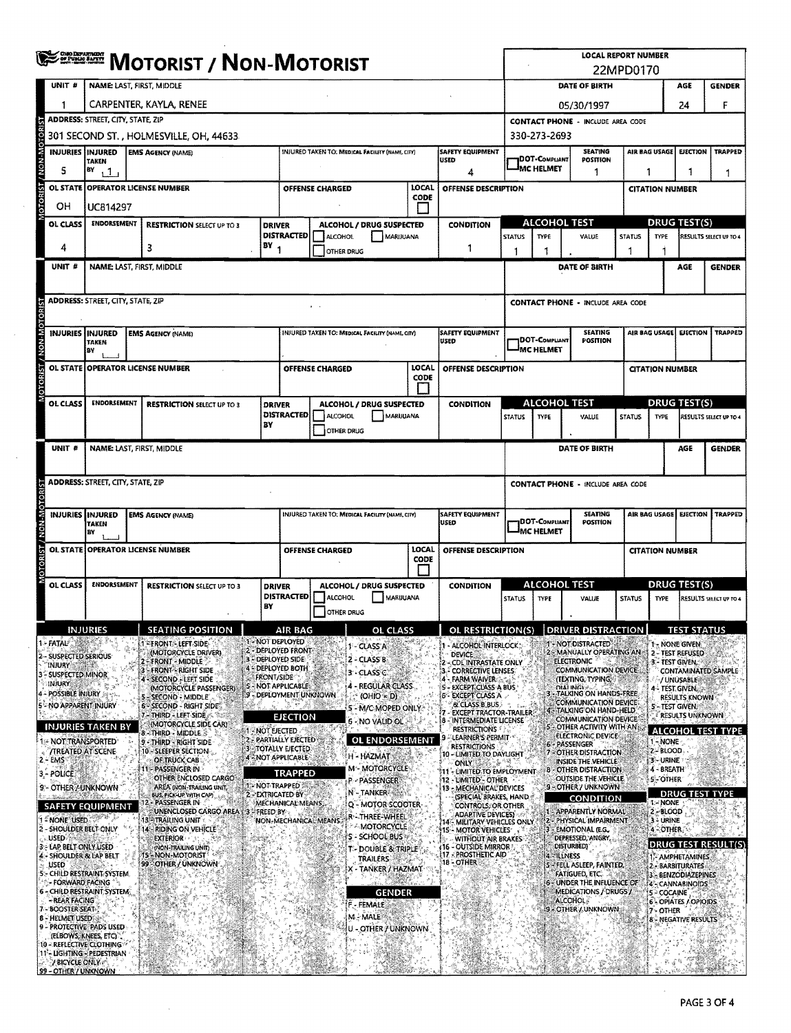|                                                        | <b>DERILLE MOTORIST / NON-MOTORIST</b>                                                                                  |                                                                                     |                      |                                                                |                                                 |                                                |                  |                                                                                                      | <b>LOCAL REPORT NUMBER</b><br>22MPD0170  |                                   |                                                                     |                                                    |                                                    |                                         |                          |
|--------------------------------------------------------|-------------------------------------------------------------------------------------------------------------------------|-------------------------------------------------------------------------------------|----------------------|----------------------------------------------------------------|-------------------------------------------------|------------------------------------------------|------------------|------------------------------------------------------------------------------------------------------|------------------------------------------|-----------------------------------|---------------------------------------------------------------------|----------------------------------------------------|----------------------------------------------------|-----------------------------------------|--------------------------|
| UNIT #                                                 |                                                                                                                         | <b>NAME: LAST, FIRST, MIDDLE</b>                                                    |                      |                                                                |                                                 |                                                |                  |                                                                                                      |                                          |                                   | DATE OF BIRTH                                                       |                                                    | AGE                                                | <b>GENDER</b>                           |                          |
| 1                                                      |                                                                                                                         | CARPENTER, KAYLA, RENEE                                                             |                      |                                                                |                                                 |                                                |                  |                                                                                                      |                                          | 05/30/1997                        |                                                                     |                                                    |                                                    | 24                                      | F                        |
|                                                        | <b>ADDRESS: STREET, CITY, STATE, ZIP</b><br><b>CONTACT PHONE - INCLUDE AREA CODE</b>                                    |                                                                                     |                      |                                                                |                                                 |                                                |                  |                                                                                                      |                                          |                                   |                                                                     |                                                    |                                                    |                                         |                          |
| OTORI                                                  |                                                                                                                         | 301 SECOND ST. , HOLMESVILLE, OH, 44633                                             |                      |                                                                |                                                 |                                                |                  |                                                                                                      |                                          | 330-273-2693                      |                                                                     |                                                    |                                                    |                                         |                          |
|                                                        | <b>INJURIES INJURED</b><br><b>EMS AGENCY (NAME)</b><br>INJURED TAKEN TO: MEDICAL FACILITY (NAME, CITY)<br><b>TAKEN</b>  |                                                                                     |                      |                                                                |                                                 |                                                |                  | <b>SAFETY EQUIPMENT</b><br><b>SEATING</b><br><b>1DOT-COMPLIANT</b><br><b>USED</b><br><b>POSITION</b> |                                          |                                   |                                                                     | TRAPPED<br>AIR BAG USAGE<br><b>LIECTION</b>        |                                                    |                                         |                          |
| œ<br>5<br><b>OL STATE</b>                              | BY<br>1.1 <sub>1</sub><br>4<br>LOCAL<br>OFFENSE DESCRIPTION                                                             |                                                                                     |                      |                                                                |                                                 |                                                |                  |                                                                                                      | <b>JMC HELMET</b><br>1                   |                                   |                                                                     | 1                                                  | 1                                                  |                                         | 1                        |
| OН                                                     | <b>OPERATOR LICENSE NUMBER</b><br>OFFENSE CHARGED<br>CODE                                                               |                                                                                     |                      |                                                                |                                                 |                                                |                  |                                                                                                      |                                          | <b>CITATION NUMBER</b>            |                                                                     |                                                    |                                                    |                                         |                          |
| <b>OL CLASS</b>                                        | UC814297<br><b>ENDORSEMENT</b>                                                                                          | <b>RESTRICTION SELECT UP TO 3</b>                                                   | <b>DRIVER</b>        | ALCOHOL / DRUG SUSPECTED                                       |                                                 |                                                | <b>CONDITION</b> |                                                                                                      | <b>ALCOHOL TEST</b>                      |                                   |                                                                     |                                                    | <b>DRUG TEST(S)</b>                                |                                         |                          |
|                                                        |                                                                                                                         |                                                                                     |                      | <b>DISTRACTED</b>                                              | ALCOHOL                                         | MARIJUANA                                      |                  |                                                                                                      | <b>STATUS</b>                            | TYPE                              | VALUE                                                               | <b>STATUS</b>                                      | <b>TYPE</b>                                        |                                         | RESULTS SELECT UP TO 4   |
| 4                                                      |                                                                                                                         | 3                                                                                   | BY                   | OTHER DRUG                                                     |                                                 |                                                | 1                | 1                                                                                                    | 1                                        |                                   | 1                                                                   |                                                    |                                                    |                                         |                          |
| UNIT #                                                 |                                                                                                                         | <b>NAME: LAST, FIRST, MIDDLE</b>                                                    |                      |                                                                |                                                 |                                                |                  |                                                                                                      |                                          |                                   | DATE OF BIRTH                                                       |                                                    |                                                    | AGE                                     | <b>GENDER</b>            |
|                                                        |                                                                                                                         |                                                                                     |                      |                                                                |                                                 |                                                |                  |                                                                                                      |                                          |                                   |                                                                     |                                                    |                                                    |                                         |                          |
|                                                        | <b>ADDRESS: STREET, CITY, STATE, ZIP</b>                                                                                |                                                                                     |                      |                                                                | $+ -$                                           |                                                |                  |                                                                                                      |                                          |                                   | <b>CONTACT PHONE - INCLUDE AREA CODE</b>                            |                                                    |                                                    |                                         |                          |
|                                                        | INJURIES INJURED                                                                                                        | <b>EMS AGENCY (NAME)</b>                                                            |                      |                                                                | INJURED TAKEN TO: MEDICAL FACILITY (NAME, CITY) |                                                |                  | <b>SAFETY EQUIPMENT</b>                                                                              |                                          |                                   | <b>SEATING</b>                                                      |                                                    | AIR BAG USAGE<br><b>EJECTION</b><br><b>TRAPPED</b> |                                         |                          |
| N-N-N                                                  | <b>TAKEN</b><br>BY                                                                                                      |                                                                                     |                      |                                                                |                                                 |                                                |                  | USED                                                                                                 |                                          | DOT-COMPUANT<br>MC HELMET         | POSITION                                                            |                                                    |                                                    |                                         |                          |
|                                                        |                                                                                                                         | OL STATE OPERATOR LICENSE NUMBER                                                    |                      |                                                                | <b>OFFENSE CHARGED</b>                          |                                                | LOCAL            | OFFENSE DESCRIPTION                                                                                  |                                          |                                   |                                                                     |                                                    | <b>CITATION NUMBER</b>                             |                                         |                          |
|                                                        |                                                                                                                         |                                                                                     |                      |                                                                |                                                 |                                                | CODE             |                                                                                                      |                                          |                                   |                                                                     |                                                    |                                                    |                                         |                          |
| OL CLASS                                               | <b>ENDORSEMENT</b>                                                                                                      | <b>RESTRICTION SELECT UP TO 3</b>                                                   | <b>DRIVER</b>        |                                                                | ALCOHOL / DRUG SUSPECTED                        |                                                |                  | <b>CONDITION</b>                                                                                     |                                          | <b>ALCOHOL TEST</b>               |                                                                     |                                                    |                                                    | <b>DRUG TEST(S)</b>                     |                          |
|                                                        |                                                                                                                         |                                                                                     | BY                   | <b>DISTRACTED</b>                                              | ALCOHOL<br><b>OTHER DRUG</b>                    | <b>MARUUANA</b>                                |                  |                                                                                                      | <b>STATUS</b>                            | <b>TYPE</b>                       | VALUE                                                               | <b>STATUS</b>                                      | <b>TYPE</b>                                        |                                         | RESULTS SELECT UP TO 4   |
| UNIT #                                                 |                                                                                                                         | NAME: LAST, FIRST, MIDDLE                                                           |                      |                                                                |                                                 |                                                |                  |                                                                                                      |                                          |                                   | DATE OF BIRTH                                                       |                                                    |                                                    | AGE                                     | <b>GENDER</b>            |
|                                                        |                                                                                                                         |                                                                                     |                      |                                                                |                                                 |                                                |                  |                                                                                                      |                                          |                                   |                                                                     |                                                    |                                                    |                                         |                          |
|                                                        | <b>ADDRESS: STREET, CITY, STATE, ZIP</b>                                                                                |                                                                                     |                      |                                                                |                                                 |                                                |                  |                                                                                                      | <b>CONTACT PHONE - INCLUDE AREA CODE</b> |                                   |                                                                     |                                                    |                                                    |                                         |                          |
| <b>OTORIST</b>                                         |                                                                                                                         |                                                                                     |                      |                                                                |                                                 |                                                |                  |                                                                                                      |                                          |                                   |                                                                     |                                                    |                                                    |                                         |                          |
|                                                        | INJURIES INJURED<br><b>EMS AGENCY (NAME)</b><br>INJURED TAKEN TO; MEDICAL FACILITY (NAME, CITY)<br>USEO<br><b>TAKEN</b> |                                                                                     |                      |                                                                |                                                 |                                                | SAFETY EQUIPMENT |                                                                                                      | <b>IDOT-C</b> ompliant                   | <b>SEATING</b><br><b>POSITION</b> |                                                                     | AIR BAG USAGE<br><b>EJECTION</b><br><b>TRAPPED</b> |                                                    |                                         |                          |
| <b>W-NOM/LSI</b>                                       | BY                                                                                                                      |                                                                                     |                      |                                                                |                                                 |                                                |                  | MC HELMET                                                                                            |                                          |                                   |                                                                     |                                                    |                                                    |                                         |                          |
| <b>BO</b>                                              |                                                                                                                         | OL STATE OPERATOR LICENSE NUMBER                                                    |                      | LOCAL<br>OFFENSE DESCRIPTION<br><b>OFFENSE CHARGED</b><br>CODE |                                                 |                                                |                  |                                                                                                      |                                          |                                   |                                                                     | <b>CITATION NUMBER</b>                             |                                                    |                                         |                          |
| OL CLASS                                               | <b>ENDORSEMENT</b>                                                                                                      | <b>RESTRICTION SELECT UP TO 3</b>                                                   | <b>DRIVER</b>        | ALCOHOL / DRUG SUSPECTED<br><b>CONDITION</b>                   |                                                 |                                                |                  |                                                                                                      | <b>ALCOHOL TEST</b>                      |                                   | <b>DRUG TEST(S)</b>                                                 |                                                    |                                                    |                                         |                          |
|                                                        |                                                                                                                         |                                                                                     |                      | <b>DISTRACTED</b><br>ALCOHOL<br>MARIJUANA                      |                                                 |                                                | <b>STATUS</b>    | TYPE                                                                                                 | VALUE                                    | <b>STATUS</b>                     | <b>TYPE</b>                                                         |                                                    | RESULTS SELECT UP TO 4                             |                                         |                          |
|                                                        |                                                                                                                         |                                                                                     | BY                   |                                                                | OTHER DRUG                                      |                                                |                  |                                                                                                      |                                          |                                   |                                                                     |                                                    |                                                    |                                         |                          |
|                                                        | INJURIES                                                                                                                | <b>SEATING POSITION</b><br><b>FRONT LEFT SIDE</b>                                   | 1 - NOT DEPLOYED     | AIR BAG                                                        |                                                 | OL CLASS                                       |                  | OL RESTRICTION(S)                                                                                    |                                          |                                   | DRIVER DISTRA                                                       |                                                    |                                                    | <u>IESI STATUS</u>                      |                          |
| FATAL<br>SUSPECTED SERIOUS                             |                                                                                                                         | (MOTORCYCLE DRIVER)<br><b>FRONT - MIDDLE</b>                                        | DEPLOYED SIDE        | 2 - DEPLOYED FRONT                                             |                                                 | 1 - CLASS A<br>$2 - CLASSB$                    |                  | - ALCOHOL INTERLOCK<br><b>DEVICE</b><br><b>CDLINTRASTATE ONLY</b>                                    |                                          |                                   | NOT DISTRACTED<br>MANUALLY OPERATING AN<br><b>ELECTRONIC</b>        |                                                    | 3 - Test Given.                                    | 1 - NONE GIVEN<br>2 - TEST REFUSED      |                          |
| <b>INJURY</b><br>SUSPECTED MINOR                       |                                                                                                                         | <b>FRONT - RIGHT SIDE</b><br>SECOND - LEFT SIDE                                     | <b>FRONT/SIDE</b>    | - DEPLOYED BOTH                                                |                                                 | 3 - CLASS C                                    |                  | <b>CORRECTIVE LENSES:</b><br>- FARM WAIVER                                                           |                                          |                                   | <b>COMMUNICATION DEVICE</b><br>(TEXTING, TYPING,                    |                                                    |                                                    | /UNUSABLE                               | CONTAMINATED SAMPLE      |
| injury<br><b>POSSIBLE INJURY</b>                       |                                                                                                                         | (MOTORCYCLE PASSENGER)<br>SECOND - MIDDLE                                           |                      | <b>S - NOT APPLICABLE</b><br>9 - DEPLOYMENT UNKNOWN            |                                                 | 4 - REGULAR CLASS<br>$(OHIO = D)$              |                  | 5 - EXCEPT CLASS A BUS<br>6 - EXCEPT CLASS A                                                         |                                          |                                   | DIALINGLA CON HANDS-FREE                                            |                                                    |                                                    | 4 - Test Given.<br><b>RESULTS KNOWN</b> |                          |
| - NO APPARENT INJURY                                   |                                                                                                                         | 6'- SECOND - RIGHT SIDE<br>- THIRD - LEFT SIDE                                      |                      | <b>EJECTION</b>                                                |                                                 | 5 - M/C MOPED ONLY                             |                  | & CLASS B.BUS.<br><b>EXCEPT TRACTOR-TRAILER</b>                                                      |                                          |                                   | COMMUNICATION DEVICE<br>TALKING ON HAND-HELD                        |                                                    | 5-TEST GIVEN.                                      | <b>RESULTS UNKNOWN</b>                  |                          |
|                                                        | <u>INJURIES TAKEN BY</u>                                                                                                | (MOTORCYCLE SIDE CAR)<br>8 - Third - Middle 3                                       | <b>1-NOT EJECTED</b> |                                                                |                                                 | 6 - NO VALID OL                                |                  | 8 - INTERMEDIATE LICENSE<br><b>RESTRICTIONS</b><br>LEARNER'S PERMIT-                                 |                                          |                                   | COMMUNICATION DEVICE<br>OTHER ACTIVITY WITH AN<br>ELECTRONIC DEVICE |                                                    |                                                    |                                         | <b>ALCOHOL TEST TYPE</b> |
| ::- NOT TRANSPORTED                                    | <b>TREATED AT SCENE</b>                                                                                                 | 9 - THIRD - RIGHT SIDE<br>10 - SLEEPER SECTION                                      |                      | 2 - PARTIALLY EJECTED<br>3 - TOTALLY EJECTED                   |                                                 | <b>OL ENDORSEMENT</b><br>H - HAZMAT            |                  | <b>RESTRICTIONS</b><br>10 - LIMITED TO DAYLIGHT                                                      |                                          | Æ.                                | - PASSENGER<br>OTHER DISTRACTION                                    |                                                    | 1-NOME<br>2-BLOOD                                  |                                         |                          |
| 2 - EMS<br>3 - POLICE                                  |                                                                                                                         | OF TRUCK CAB<br>PASSENGER IN                                                        |                      | 4 - NOT APPLICABLE<br><b>TRAPPED</b>                           |                                                 | <b>M-MOTORCYCLE</b>                            |                  | ONLY<br>11 - LIMITED TO EMPLOYMENT                                                                   |                                          | в                                 | INSIDE THE VEHICLE!<br>- OTHER DISTRACTION                          |                                                    | 3 - URINE<br>4 - BREATH                            |                                         |                          |
| 9'- OTHER / UNKNOWN                                    |                                                                                                                         | OTHER ENCLOSED CARGO<br>AREA (NON-TRAILING UNIT)                                    | 1 - NOT TRAPPED      |                                                                |                                                 | P - PASSENGER<br>N-TANKER                      |                  | 12 - LIMITED' - OTHER<br>13 - MECHANICAL DEVICES                                                     |                                          |                                   | OUTSIDE THE VEHICLE.<br>9 - OTHER / UNKNOWN                         |                                                    | <b>S-OTHER</b>                                     |                                         |                          |
|                                                        | <b>SAFETY EQUIPMENT</b>                                                                                                 | BUS, PICK-UP WITH CAP)<br><b>PASSENGER IN</b><br>UNENCLOSED CARGO AREA 3 - FREED BY | 2-EXTRICATED BY      | MECHANICAL MEANS,                                              |                                                 | Q - MOTOR SCOOTER-                             |                  | (SPECIAL BRAKES, HAND<br>CONTROLS, OR OTHER                                                          |                                          |                                   | <b>CONDITION</b><br>- APPARENTLY NORMAL                             |                                                    | <b>I-NONE</b><br>2-BLOOD                           |                                         | <b>DRUG TEST TYPE</b>    |
| 1 - NONE USED<br>2 - SHOULDER BELT ONLY                |                                                                                                                         | 13 ATRAILING UNIT<br>14 - RIDING ON VEHICLE                                         |                      |                                                                | NON-MECHANICAL MEANS                            | R - THREE-WHEEL<br><b>AMOTORCYCLE</b>          |                  | <b>ADAPTIVE DEVICES)</b><br>14 - MILITARY VEHICLES ONLY<br><b>15 - MOTOR VEHICLES</b>                |                                          |                                   | 2 - PHYSICAL IMPAIRMENT<br><b>EMOTIONAL (E.G.</b>                   |                                                    | 3 - URINE<br>4-OTHER                               |                                         |                          |
| USED 3<br>3 - LAP BELT ONLY USED                       |                                                                                                                         | <b>EXTERIOR</b><br>(NON-TRAILING UNIT)                                              |                      |                                                                |                                                 | S - SCHOOL BUS<br><b>T-DOUBLE &amp; TRIPLE</b> |                  | WITHOUT AIR BRAKES<br>16 - OUTSIDE MIRROR                                                            |                                          |                                   | DEPRESSED, ANGRY<br><b>DISTURBED)</b>                               |                                                    |                                                    |                                         | DRUG TEST RESULT(S       |
| 4 - SHOULDER & LAP BELT<br><b>USED</b>                 |                                                                                                                         | - NON-MOTORIST<br>-15<br>99 - OTHER / UNKNOWN                                       |                      |                                                                |                                                 | <b>TRAILERS</b><br>X - TANKER / HAZMAT         |                  | 17 - PROSTHETIC AID<br>18 - OTHER                                                                    |                                          | <b>ELLNESS</b><br>21              | - FELL ASLEEP, FAINTED,                                             |                                                    |                                                    | 1- AMPHETAMINES<br>2 - BARBITURATES     |                          |
| 5: CHILD RESTRAINT SYSTEM                              | - FORWARD FACING                                                                                                        |                                                                                     |                      |                                                                |                                                 |                                                |                  |                                                                                                      |                                          |                                   | FATIGUED, ETC.<br>6 - UNDER THE INFLUENCE OF                        |                                                    |                                                    | 3 - BENZODIAZEPINES<br>4 - CANNABINOIDS |                          |
| <b>6 - CHILD RESTRAINT SYSTEM</b><br>- REAR FACING     |                                                                                                                         |                                                                                     |                      |                                                                |                                                 | <b>GENDER</b><br>F - FEMALE                    |                  |                                                                                                      |                                          |                                   | MEDICATIONS / DRUGS /<br><b>ALCOHOL</b> <sup>8</sup>                |                                                    | 5 - COCAINE                                        | 6 - OPIATES / OPIOIDS                   |                          |
| 7 - BOOSTER SEAT-<br>8 - HELMET USED                   |                                                                                                                         |                                                                                     |                      |                                                                |                                                 | M - MALE                                       |                  |                                                                                                      |                                          |                                   | <b>9 - OTHER / UNKNOWN</b>                                          |                                                    | 7 - OTHER                                          | <b>8 - NEGATIVE RESULTS</b>             |                          |
| 9 - PROTECTIVE PADS USED                               | (ELBOWS, KNEES, ETC)                                                                                                    |                                                                                     |                      |                                                                |                                                 | U - OTHER / UNKNOWN                            |                  |                                                                                                      |                                          |                                   |                                                                     |                                                    |                                                    |                                         |                          |
| 10 - REFLECTIVE CLOTHING<br>11 - LIGHTING - PEDESTRIAN |                                                                                                                         |                                                                                     |                      |                                                                |                                                 |                                                |                  |                                                                                                      |                                          |                                   |                                                                     |                                                    |                                                    |                                         |                          |
| / BICYCLE ONLY<br>99 - OTHER / UNKNOWN                 |                                                                                                                         |                                                                                     |                      |                                                                |                                                 |                                                |                  |                                                                                                      |                                          |                                   |                                                                     |                                                    |                                                    |                                         |                          |

 $\mathcal{L}_{\mathcal{A}}$ 

 $\sim$ 

 $\bar{z}$ 

 $\sim$ 

 $\lambda$